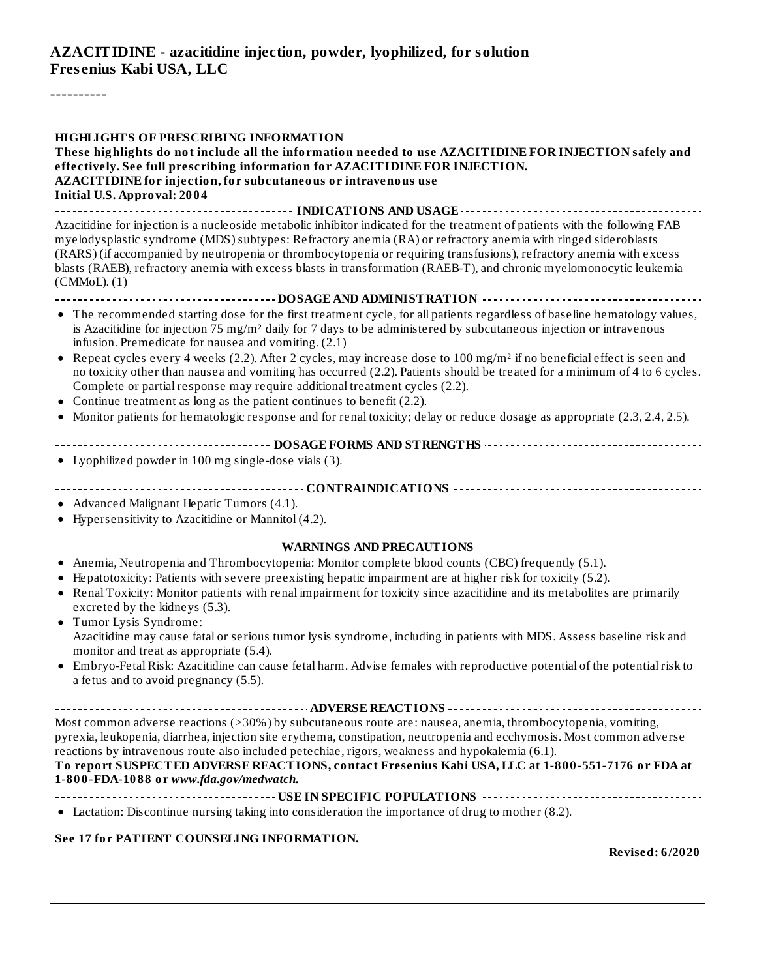### **AZACITIDINE - azacitidine injection, powder, lyophilized, for solution Fres enius Kabi USA, LLC**

----------

| <b>HIGHLIGHTS OF PRESCRIBING INFORMATION</b><br>These highlights do not include all the information needed to use AZACITIDINE FOR INJECTION safely and<br>effectively. See full prescribing information for AZACITIDINE FOR INJECTION.<br>AZACITIDINE for injection, for subcutaneous or intravenous use<br><b>Initial U.S. Approval: 2004</b>                                   |
|----------------------------------------------------------------------------------------------------------------------------------------------------------------------------------------------------------------------------------------------------------------------------------------------------------------------------------------------------------------------------------|
| Azacitidine for injection is a nucleoside metabolic inhibitor indicated for the treatment of patients with the following FAB                                                                                                                                                                                                                                                     |
| myelodysplastic syndrome (MDS) subtypes: Refractory anemia (RA) or refractory anemia with ringed sideroblasts<br>(RARS) (if accompanied by neutropenia or thrombocytopenia or requiring transfusions), refractory anemia with excess<br>blasts (RAEB), refractory anemia with excess blasts in transformation (RAEB-T), and chronic myelomonocytic leukemia<br>$(CMMOL)$ . $(1)$ |
| ------------------------------------- DOSAGE AND ADMINISTRATION -----------------------------------                                                                                                                                                                                                                                                                              |
| • The recommended starting dose for the first treatment cycle, for all patients regardless of baseline hematology values,<br>is Azacitidine for injection 75 mg/m <sup>2</sup> daily for 7 days to be administered by subcutaneous injection or intravenous<br>infusion. Premedicate for nausea and vomiting. (2.1)                                                              |
| • Repeat cycles every 4 weeks (2.2). After 2 cycles, may increase dose to 100 mg/m <sup>2</sup> if no beneficial effect is seen and<br>no toxicity other than nausea and vomiting has occurred (2.2). Patients should be treated for a minimum of 4 to 6 cycles.<br>Complete or partial response may require additional treatment cycles (2.2).                                  |
| • Continue treatment as long as the patient continues to benefit (2.2).                                                                                                                                                                                                                                                                                                          |
| • Monitor patients for hematologic response and for renal toxicity; delay or reduce dosage as appropriate (2.3, 2.4, 2.5).                                                                                                                                                                                                                                                       |
|                                                                                                                                                                                                                                                                                                                                                                                  |
| • Lyophilized powder in 100 mg single-dose vials (3).                                                                                                                                                                                                                                                                                                                            |
|                                                                                                                                                                                                                                                                                                                                                                                  |
|                                                                                                                                                                                                                                                                                                                                                                                  |
| • Advanced Malignant Hepatic Tumors (4.1).                                                                                                                                                                                                                                                                                                                                       |
| • Hypersensitivity to Azacitidine or Mannitol (4.2).                                                                                                                                                                                                                                                                                                                             |
|                                                                                                                                                                                                                                                                                                                                                                                  |
|                                                                                                                                                                                                                                                                                                                                                                                  |
| • Anemia, Neutropenia and Thrombocytopenia: Monitor complete blood counts (CBC) frequently (5.1).                                                                                                                                                                                                                                                                                |
| • Hepatotoxicity: Patients with severe preexisting hepatic impairment are at higher risk for toxicity (5.2).                                                                                                                                                                                                                                                                     |
| • Renal Toxicity: Monitor patients with renal impairment for toxicity since azacitidine and its metabolites are primarily<br>excreted by the kidneys (5.3).<br>• Tumor Lysis Syndrome:                                                                                                                                                                                           |
| Azacitidine may cause fatal or serious tumor lysis syndrome, including in patients with MDS. Assess baseline risk and<br>monitor and treat as appropriate (5.4).                                                                                                                                                                                                                 |
| • Embryo-Fetal Risk: Azacitidine can cause fetal harm. Advise females with reproductive potential of the potential risk to<br>a fetus and to avoid pregnancy (5.5).                                                                                                                                                                                                              |
|                                                                                                                                                                                                                                                                                                                                                                                  |
| Most common adverse reactions (>30%) by subcutaneous route are: nausea, anemia, thrombocytopenia, vomiting,<br>pyrexia, leukopenia, diarrhea, injection site erythema, constipation, neutropenia and ecchymosis. Most common adverse<br>reactions by intravenous route also included petechiae, rigors, weakness and hypokalemia (6.1).                                          |
| To report SUSPECTED ADVERSE REACTIONS, contact Fresenius Kabi USA, LLC at 1-800-551-7176 or FDA at<br>1-800-FDA-1088 or www.fda.gov/medwatch.                                                                                                                                                                                                                                    |
|                                                                                                                                                                                                                                                                                                                                                                                  |
| • Lactation: Discontinue nursing taking into consideration the importance of drug to mother (8.2).                                                                                                                                                                                                                                                                               |
|                                                                                                                                                                                                                                                                                                                                                                                  |

#### **See 17 for PATIENT COUNSELING INFORMATION.**

**Revised: 6/2020**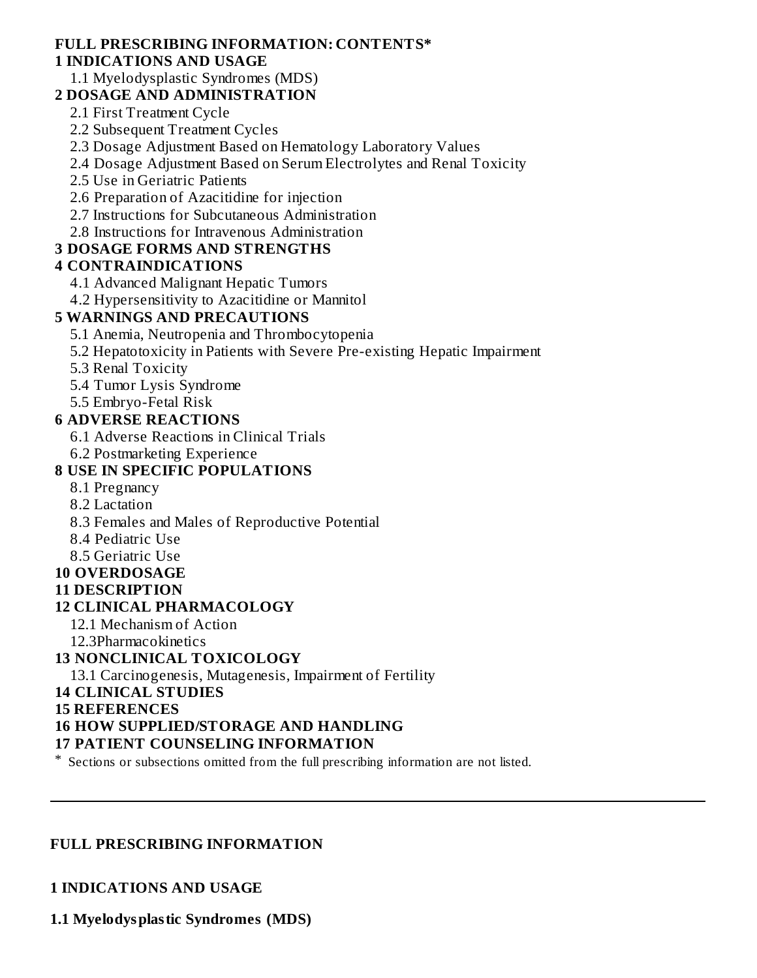#### **FULL PRESCRIBING INFORMATION: CONTENTS\* 1 INDICATIONS AND USAGE**

#### 1.1 Myelodysplastic Syndromes (MDS)

#### **2 DOSAGE AND ADMINISTRATION**

2.1 First Treatment Cycle

2.2 Subsequent Treatment Cycles

2.3 Dosage Adjustment Based on Hematology Laboratory Values

2.4 Dosage Adjustment Based on Serum Electrolytes and Renal Toxicity

2.5 Use in Geriatric Patients

2.6 Preparation of Azacitidine for injection

2.7 Instructions for Subcutaneous Administration

2.8 Instructions for Intravenous Administration

### **3 DOSAGE FORMS AND STRENGTHS**

# **4 CONTRAINDICATIONS**

4.1 Advanced Malignant Hepatic Tumors

4.2 Hypersensitivity to Azacitidine or Mannitol

# **5 WARNINGS AND PRECAUTIONS**

5.1 Anemia, Neutropenia and Thrombocytopenia

5.2 Hepatotoxicity in Patients with Severe Pre-existing Hepatic Impairment

5.3 Renal Toxicity

5.4 Tumor Lysis Syndrome

5.5 Embryo-Fetal Risk

### **6 ADVERSE REACTIONS**

6.1 Adverse Reactions in Clinical Trials

6.2 Postmarketing Experience

# **8 USE IN SPECIFIC POPULATIONS**

- 8.1 Pregnancy
- 8.2 Lactation

8.3 Females and Males of Reproductive Potential

8.4 Pediatric Use

8.5 Geriatric Use

**10 OVERDOSAGE**

#### **11 DESCRIPTION**

# **12 CLINICAL PHARMACOLOGY**

12.1 Mechanism of Action

12.3Pharmacokinetics

# **13 NONCLINICAL TOXICOLOGY**

13.1 Carcinogenesis, Mutagenesis, Impairment of Fertility

#### **14 CLINICAL STUDIES**

#### **15 REFERENCES**

# **16 HOW SUPPLIED/STORAGE AND HANDLING**

# **17 PATIENT COUNSELING INFORMATION**

\* Sections or subsections omitted from the full prescribing information are not listed.

#### **FULL PRESCRIBING INFORMATION**

**1 INDICATIONS AND USAGE**

**1.1 Myelodysplastic Syndromes (MDS)**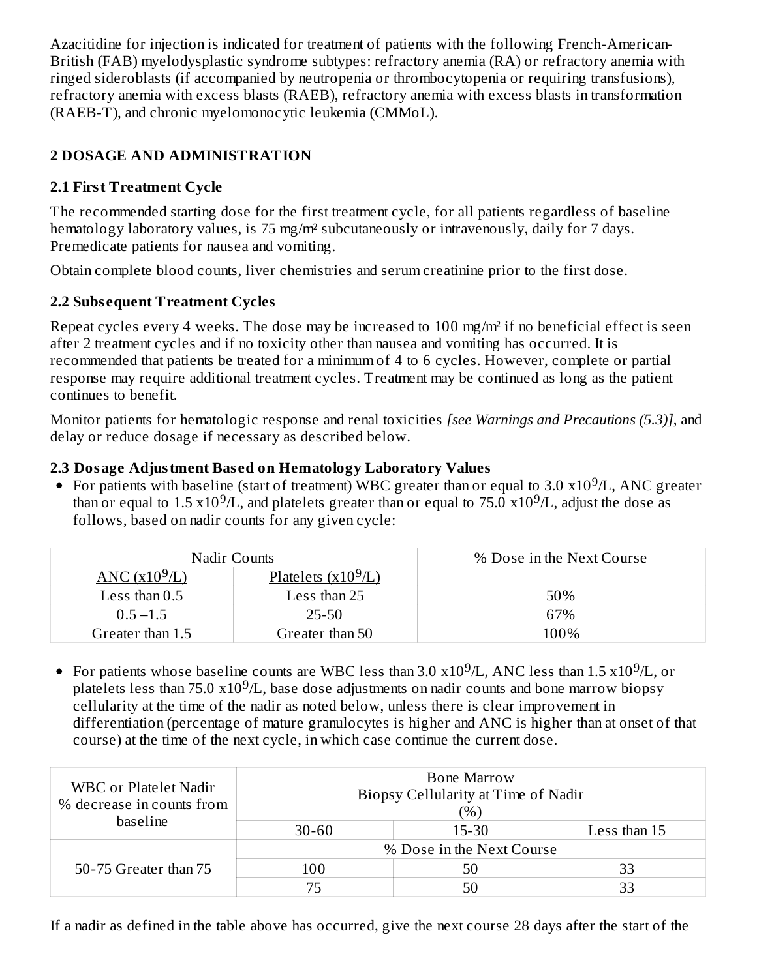Azacitidine for injection is indicated for treatment of patients with the following French-American-British (FAB) myelodysplastic syndrome subtypes: refractory anemia (RA) or refractory anemia with ringed sideroblasts (if accompanied by neutropenia or thrombocytopenia or requiring transfusions), refractory anemia with excess blasts (RAEB), refractory anemia with excess blasts in transformation (RAEB-T), and chronic myelomonocytic leukemia (CMMoL).

# **2 DOSAGE AND ADMINISTRATION**

# **2.1 First Treatment Cycle**

The recommended starting dose for the first treatment cycle, for all patients regardless of baseline hematology laboratory values, is 75 mg/m² subcutaneously or intravenously, daily for 7 days. Premedicate patients for nausea and vomiting.

Obtain complete blood counts, liver chemistries and serum creatinine prior to the first dose.

# **2.2 Subs equent Treatment Cycles**

Repeat cycles every 4 weeks. The dose may be increased to 100 mg/m² if no beneficial effect is seen after 2 treatment cycles and if no toxicity other than nausea and vomiting has occurred. It is recommended that patients be treated for a minimum of 4 to 6 cycles. However, complete or partial response may require additional treatment cycles. Treatment may be continued as long as the patient continues to benefit.

Monitor patients for hematologic response and renal toxicities *[see Warnings and Precautions (5.3)]*, and delay or reduce dosage if necessary as described below.

# **2.3 Dosage Adjustment Bas ed on Hematology Laboratory Values**

For patients with baseline (start of treatment) WBC greater than or equal to 3.0  $x10^9/L$ , ANC greater than or equal to 1.5  $x10^9/L$ , and platelets greater than or equal to 75.0  $x10^9/L$ , adjust the dose as follows, based on nadir counts for any given cycle:

|                  | Nadir Counts          | % Dose in the Next Course |
|------------------|-----------------------|---------------------------|
| ANC $(x10^9/L)$  | Platelets $(x10^9/L)$ |                           |
| Less than $0.5$  | Less than 25          | 50%                       |
| $0.5 - 1.5$      | 25-50                 | 67%                       |
| Greater than 1.5 | Greater than 50       | 100%                      |

For patients whose baseline counts are WBC less than 3.0  $\mathrm{x10^9}$ /L, ANC less than 1.5  $\mathrm{x10^9}$ /L, or platelets less than 75.0  $x10^9/L$ , base dose adjustments on nadir counts and bone marrow biopsy cellularity at the time of the nadir as noted below, unless there is clear improvement in differentiation (percentage of mature granulocytes is higher and ANC is higher than at onset of that course) at the time of the next cycle, in which case continue the current dose.

| WBC or Platelet Nadir<br>% decrease in counts from<br>baseline | Bone Marrow<br>Biopsy Cellularity at Time of Nadir<br>$(\%)$ |           |              |  |
|----------------------------------------------------------------|--------------------------------------------------------------|-----------|--------------|--|
|                                                                | $30 - 60$                                                    | $15 - 30$ | Less than 15 |  |
|                                                                | % Dose in the Next Course                                    |           |              |  |
| 50-75 Greater than 75                                          | 100                                                          | 50        | 33           |  |
|                                                                | 75                                                           | 50        | 33           |  |

If a nadir as defined in the table above has occurred, give the next course 28 days after the start of the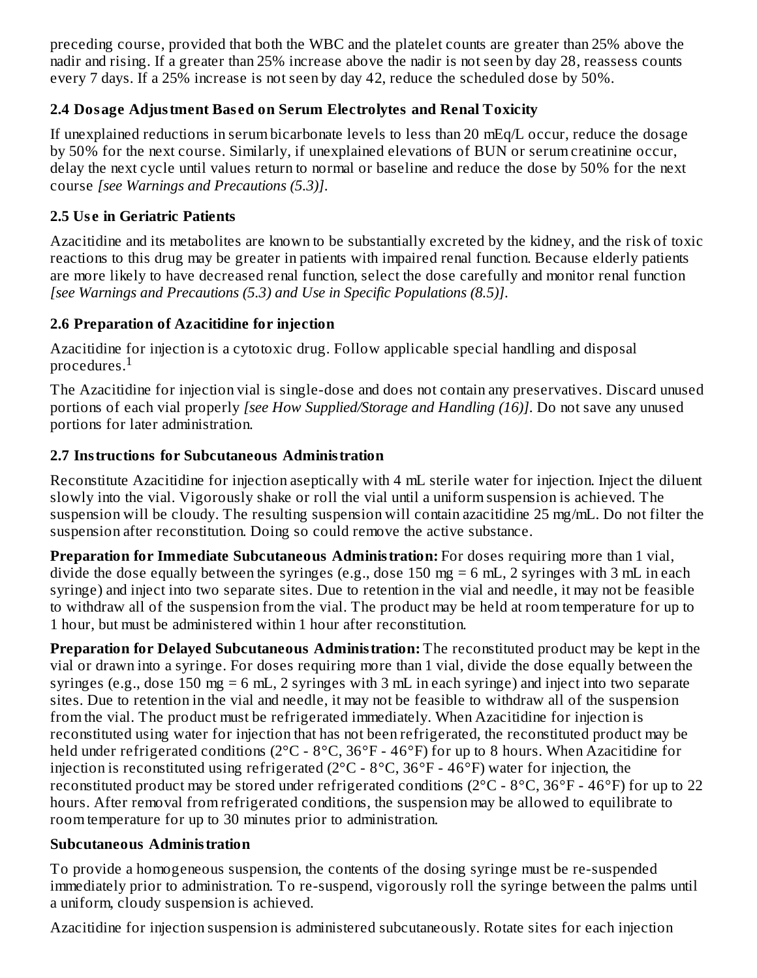preceding course, provided that both the WBC and the platelet counts are greater than 25% above the nadir and rising. If a greater than 25% increase above the nadir is not seen by day 28, reassess counts every 7 days. If a 25% increase is not seen by day 42, reduce the scheduled dose by 50%.

# **2.4 Dosage Adjustment Bas ed on Serum Electrolytes and Renal Toxicity**

If unexplained reductions in serum bicarbonate levels to less than 20 mEq/L occur, reduce the dosage by 50% for the next course. Similarly, if unexplained elevations of BUN or serum creatinine occur, delay the next cycle until values return to normal or baseline and reduce the dose by 50% for the next course *[see Warnings and Precautions (5.3)]*.

# **2.5 Us e in Geriatric Patients**

Azacitidine and its metabolites are known to be substantially excreted by the kidney, and the risk of toxic reactions to this drug may be greater in patients with impaired renal function. Because elderly patients are more likely to have decreased renal function, select the dose carefully and monitor renal function *[see Warnings and Precautions (5.3) and Use in Specific Populations (8.5)]*.

# **2.6 Preparation of Azacitidine for injection**

Azacitidine for injection is a cytotoxic drug. Follow applicable special handling and disposal procedures. $^{\rm 1}$ 

The Azacitidine for injection vial is single-dose and does not contain any preservatives. Discard unused portions of each vial properly *[see How Supplied/Storage and Handling (16)]*. Do not save any unused portions for later administration.

# **2.7 Instructions for Subcutaneous Administration**

Reconstitute Azacitidine for injection aseptically with 4 mL sterile water for injection. Inject the diluent slowly into the vial. Vigorously shake or roll the vial until a uniform suspension is achieved. The suspension will be cloudy. The resulting suspension will contain azacitidine 25 mg/mL. Do not filter the suspension after reconstitution. Doing so could remove the active substance.

**Preparation for Immediate Subcutaneous Administration:** For doses requiring more than 1 vial, divide the dose equally between the syringes (e.g., dose 150 mg = 6 mL, 2 syringes with 3 mL in each syringe) and inject into two separate sites. Due to retention in the vial and needle, it may not be feasible to withdraw all of the suspension from the vial. The product may be held at room temperature for up to 1 hour, but must be administered within 1 hour after reconstitution.

**Preparation for Delayed Subcutaneous Administration:** The reconstituted product may be kept in the vial or drawn into a syringe. For doses requiring more than 1 vial, divide the dose equally between the syringes (e.g., dose 150 mg = 6 mL, 2 syringes with 3 mL in each syringe) and inject into two separate sites. Due to retention in the vial and needle, it may not be feasible to withdraw all of the suspension from the vial. The product must be refrigerated immediately. When Azacitidine for injection is reconstituted using water for injection that has not been refrigerated, the reconstituted product may be held under refrigerated conditions (2°C - 8°C, 36°F - 46°F) for up to 8 hours. When Azacitidine for injection is reconstituted using refrigerated (2°C - 8°C, 36°F - 46°F) water for injection, the reconstituted product may be stored under refrigerated conditions ( $2^{\circ}$ C -  $8^{\circ}$ C,  $36^{\circ}$ F -  $46^{\circ}$ F) for up to 22 hours. After removal from refrigerated conditions, the suspension may be allowed to equilibrate to room temperature for up to 30 minutes prior to administration.

# **Subcutaneous Administration**

To provide a homogeneous suspension, the contents of the dosing syringe must be re-suspended immediately prior to administration. To re-suspend, vigorously roll the syringe between the palms until a uniform, cloudy suspension is achieved.

Azacitidine for injection suspension is administered subcutaneously. Rotate sites for each injection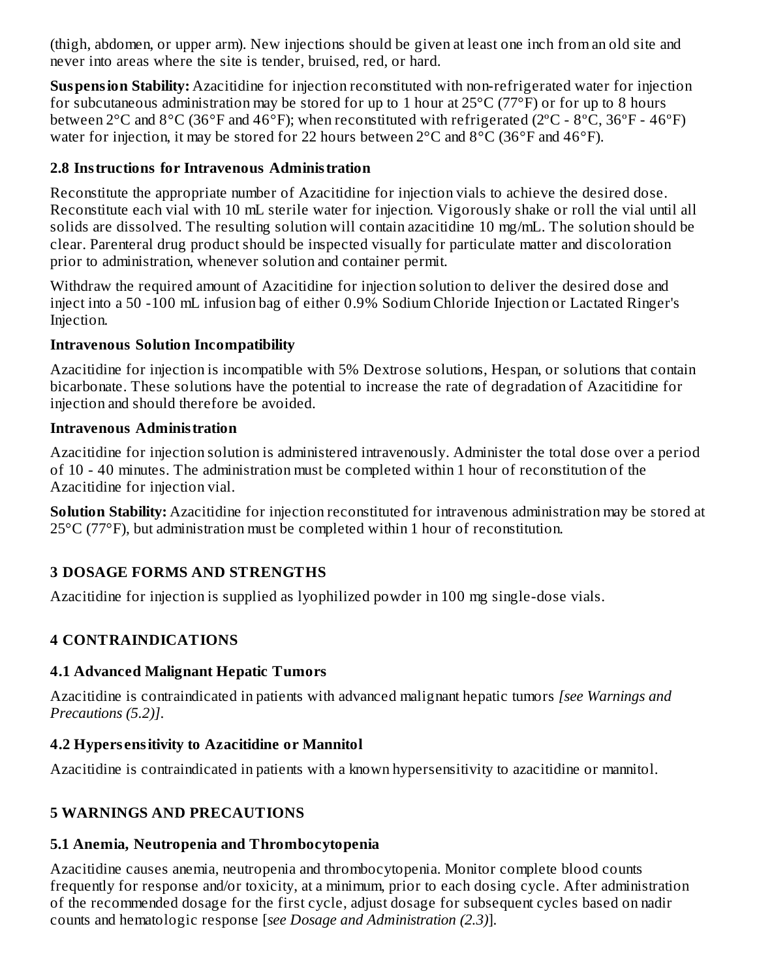(thigh, abdomen, or upper arm). New injections should be given at least one inch from an old site and never into areas where the site is tender, bruised, red, or hard.

**Suspension Stability:** Azacitidine for injection reconstituted with non-refrigerated water for injection for subcutaneous administration may be stored for up to 1 hour at  $25^{\circ}$ C (77°F) or for up to 8 hours between 2°C and 8°C (36°F and 46°F); when reconstituted with refrigerated (2ºC - 8ºC, 36ºF - 46ºF) water for injection, it may be stored for 22 hours between 2°C and 8°C (36°F and 46°F).

# **2.8 Instructions for Intravenous Administration**

Reconstitute the appropriate number of Azacitidine for injection vials to achieve the desired dose. Reconstitute each vial with 10 mL sterile water for injection. Vigorously shake or roll the vial until all solids are dissolved. The resulting solution will contain azacitidine 10 mg/mL. The solution should be clear. Parenteral drug product should be inspected visually for particulate matter and discoloration prior to administration, whenever solution and container permit.

Withdraw the required amount of Azacitidine for injection solution to deliver the desired dose and inject into a 50 -100 mL infusion bag of either 0.9% Sodium Chloride Injection or Lactated Ringer's Injection.

#### **Intravenous Solution Incompatibility**

Azacitidine for injection is incompatible with 5% Dextrose solutions, Hespan, or solutions that contain bicarbonate. These solutions have the potential to increase the rate of degradation of Azacitidine for injection and should therefore be avoided.

### **Intravenous Administration**

Azacitidine for injection solution is administered intravenously. Administer the total dose over a period of 10 - 40 minutes. The administration must be completed within 1 hour of reconstitution of the Azacitidine for injection vial.

**Solution Stability:** Azacitidine for injection reconstituted for intravenous administration may be stored at 25°C (77°F), but administration must be completed within 1 hour of reconstitution.

# **3 DOSAGE FORMS AND STRENGTHS**

Azacitidine for injection is supplied as lyophilized powder in 100 mg single-dose vials.

# **4 CONTRAINDICATIONS**

# **4.1 Advanced Malignant Hepatic Tumors**

Azacitidine is contraindicated in patients with advanced malignant hepatic tumors *[see Warnings and Precautions (5.2)]*.

# **4.2 Hypers ensitivity to Azacitidine or Mannitol**

Azacitidine is contraindicated in patients with a known hypersensitivity to azacitidine or mannitol.

# **5 WARNINGS AND PRECAUTIONS**

# **5.1 Anemia, Neutropenia and Thrombocytopenia**

Azacitidine causes anemia, neutropenia and thrombocytopenia. Monitor complete blood counts frequently for response and/or toxicity, at a minimum, prior to each dosing cycle. After administration of the recommended dosage for the first cycle, adjust dosage for subsequent cycles based on nadir counts and hematologic response [*see Dosage and Administration (2.3)*].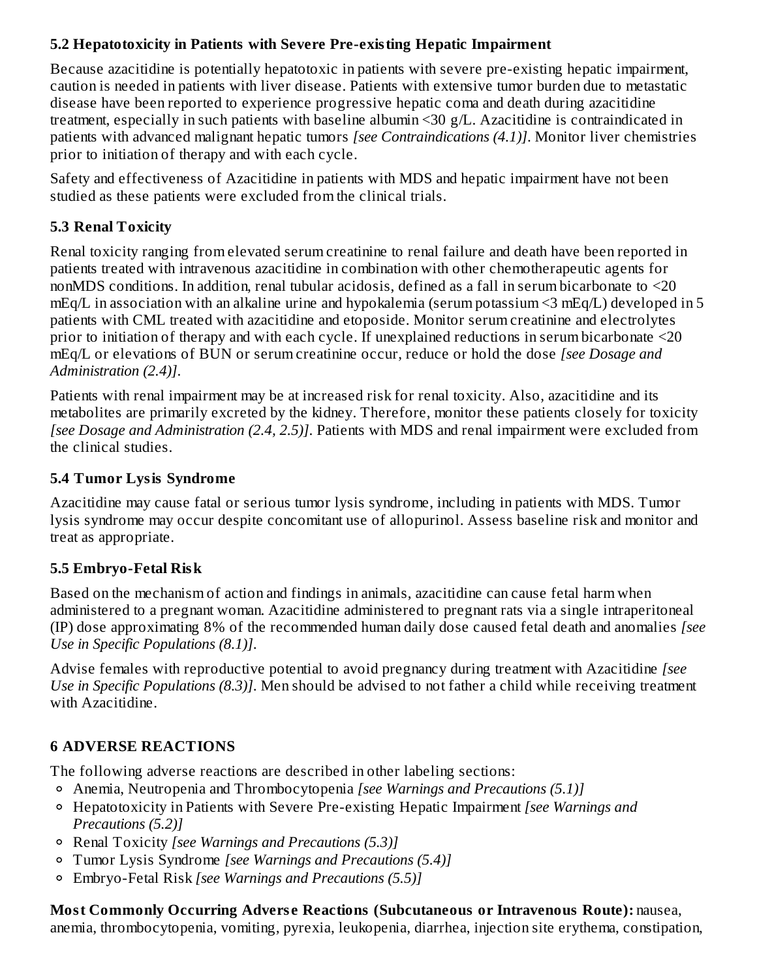# **5.2 Hepatotoxicity in Patients with Severe Pre-existing Hepatic Impairment**

Because azacitidine is potentially hepatotoxic in patients with severe pre-existing hepatic impairment, caution is needed in patients with liver disease. Patients with extensive tumor burden due to metastatic disease have been reported to experience progressive hepatic coma and death during azacitidine treatment, especially in such patients with baseline albumin <30 g/L. Azacitidine is contraindicated in patients with advanced malignant hepatic tumors *[see Contraindications (4.1)]*. Monitor liver chemistries prior to initiation of therapy and with each cycle.

Safety and effectiveness of Azacitidine in patients with MDS and hepatic impairment have not been studied as these patients were excluded from the clinical trials.

# **5.3 Renal Toxicity**

Renal toxicity ranging from elevated serum creatinine to renal failure and death have been reported in patients treated with intravenous azacitidine in combination with other chemotherapeutic agents for nonMDS conditions. In addition, renal tubular acidosis, defined as a fall in serum bicarbonate to <20 mEq/L in association with an alkaline urine and hypokalemia (serum potassium <3 mEq/L) developed in 5 patients with CML treated with azacitidine and etoposide. Monitor serum creatinine and electrolytes prior to initiation of therapy and with each cycle. If unexplained reductions in serum bicarbonate <20 mEq/L or elevations of BUN or serum creatinine occur, reduce or hold the dose *[see Dosage and Administration (2.4)]*.

Patients with renal impairment may be at increased risk for renal toxicity. Also, azacitidine and its metabolites are primarily excreted by the kidney. Therefore, monitor these patients closely for toxicity *[see Dosage and Administration (2.4, 2.5)]*. Patients with MDS and renal impairment were excluded from the clinical studies.

# **5.4 Tumor Lysis Syndrome**

Azacitidine may cause fatal or serious tumor lysis syndrome, including in patients with MDS. Tumor lysis syndrome may occur despite concomitant use of allopurinol. Assess baseline risk and monitor and treat as appropriate.

# **5.5 Embryo-Fetal Risk**

Based on the mechanism of action and findings in animals, azacitidine can cause fetal harm when administered to a pregnant woman. Azacitidine administered to pregnant rats via a single intraperitoneal (IP) dose approximating 8% of the recommended human daily dose caused fetal death and anomalies *[see Use in Specific Populations (8.1)]*.

Advise females with reproductive potential to avoid pregnancy during treatment with Azacitidine *[see Use in Specific Populations (8.3)]*. Men should be advised to not father a child while receiving treatment with Azacitidine.

# **6 ADVERSE REACTIONS**

The following adverse reactions are described in other labeling sections:

- Anemia, Neutropenia and Thrombocytopenia *[see Warnings and Precautions (5.1)]*
- Hepatotoxicity in Patients with Severe Pre-existing Hepatic Impairment *[see Warnings and Precautions (5.2)]*
- Renal Toxicity *[see Warnings and Precautions (5.3)]*
- Tumor Lysis Syndrome *[see Warnings and Precautions (5.4)]*
- Embryo-Fetal Risk *[see Warnings and Precautions (5.5)]*

**Most Commonly Occurring Advers e Reactions (Subcutaneous or Intravenous Route):** nausea, anemia, thrombocytopenia, vomiting, pyrexia, leukopenia, diarrhea, injection site erythema, constipation,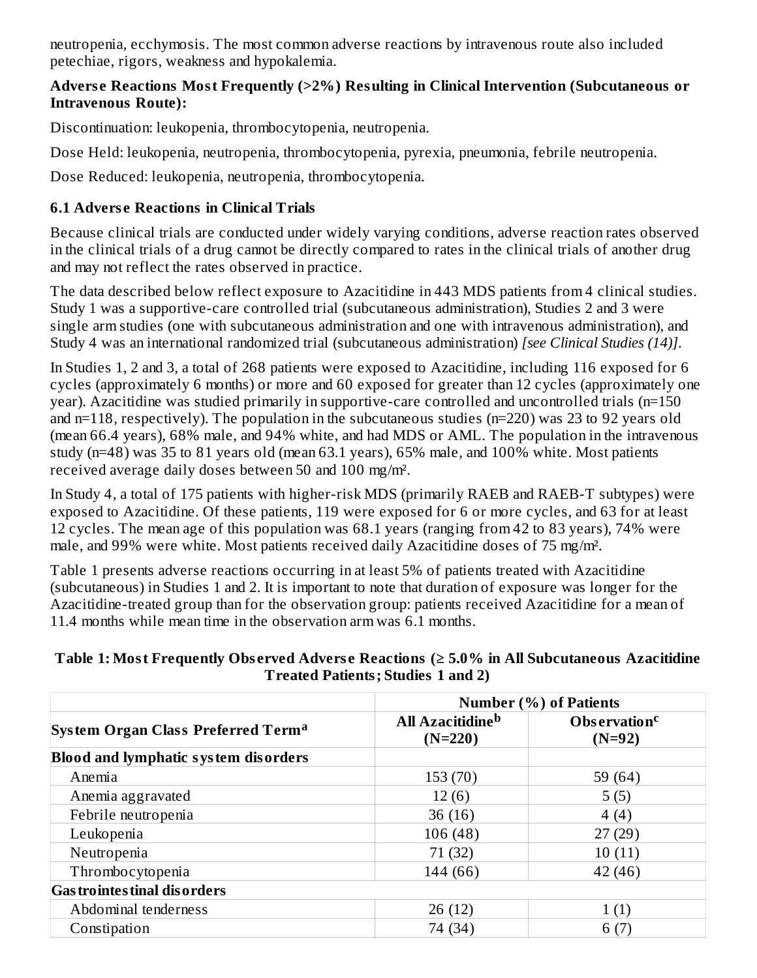neutropenia, ecchymosis. The most common adverse reactions by intravenous route also included petechiae, rigors, weakness and hypokalemia.

### **Advers e Reactions Most Frequently (>2%) Resulting in Clinical Intervention (Subcutaneous or Intravenous Route):**

Discontinuation: leukopenia, thrombocytopenia, neutropenia.

Dose Held: leukopenia, neutropenia, thrombocytopenia, pyrexia, pneumonia, febrile neutropenia.

Dose Reduced: leukopenia, neutropenia, thrombocytopenia.

# **6.1 Advers e Reactions in Clinical Trials**

Because clinical trials are conducted under widely varying conditions, adverse reaction rates observed in the clinical trials of a drug cannot be directly compared to rates in the clinical trials of another drug and may not reflect the rates observed in practice.

The data described below reflect exposure to Azacitidine in 443 MDS patients from 4 clinical studies. Study 1 was a supportive-care controlled trial (subcutaneous administration), Studies 2 and 3 were single arm studies (one with subcutaneous administration and one with intravenous administration), and Study 4 was an international randomized trial (subcutaneous administration) *[see Clinical Studies (14)]*.

In Studies 1, 2 and 3, a total of 268 patients were exposed to Azacitidine, including 116 exposed for 6 cycles (approximately 6 months) or more and 60 exposed for greater than 12 cycles (approximately one year). Azacitidine was studied primarily in supportive-care controlled and uncontrolled trials (n=150 and n=118, respectively). The population in the subcutaneous studies (n=220) was 23 to 92 years old (mean 66.4 years), 68% male, and 94% white, and had MDS or AML. The population in the intravenous study (n=48) was 35 to 81 years old (mean 63.1 years), 65% male, and 100% white. Most patients received average daily doses between 50 and 100 mg/m².

In Study 4, a total of 175 patients with higher-risk MDS (primarily RAEB and RAEB-T subtypes) were exposed to Azacitidine. Of these patients, 119 were exposed for 6 or more cycles, and 63 for at least 12 cycles. The mean age of this population was 68.1 years (ranging from 42 to 83 years), 74% were male, and 99% were white. Most patients received daily Azacitidine doses of 75 mg/m².

Table 1 presents adverse reactions occurring in at least 5% of patients treated with Azacitidine (subcutaneous) in Studies 1 and 2. It is important to note that duration of exposure was longer for the Azacitidine-treated group than for the observation group: patients received Azacitidine for a mean of 11.4 months while mean time in the observation arm was 6.1 months.

#### **Table 1: Most Frequently Obs erved Advers e Reactions (≥ 5.0% in All Subcutaneous Azacitidine Treated Patients; Studies 1 and 2)**

|                                                | <b>Number (%) of Patients</b>             |                                      |  |
|------------------------------------------------|-------------------------------------------|--------------------------------------|--|
| System Organ Class Preferred Term <sup>a</sup> | All Azacitidine <sup>b</sup><br>$(N=220)$ | Observation <sup>c</sup><br>$(N=92)$ |  |
| <b>Blood and lymphatic system disorders</b>    |                                           |                                      |  |
| Anemia                                         | 153 (70)                                  | 59 (64)                              |  |
| Anemia aggravated                              | 12(6)                                     | 5(5)                                 |  |
| Febrile neutropenia                            | 36(16)                                    | 4(4)                                 |  |
| Leukopenia                                     | 106(48)                                   | 27(29)                               |  |
| Neutropenia                                    | 71 (32)                                   | 10(11)                               |  |
| Thrombocytopenia                               | 144 (66)                                  | 42 (46)                              |  |
| <b>Gas trointes tinal dis orders</b>           |                                           |                                      |  |
| Abdominal tenderness                           | 26(12)                                    | 1(1)                                 |  |
| Constipation                                   | 74 (34)                                   | 6 (7                                 |  |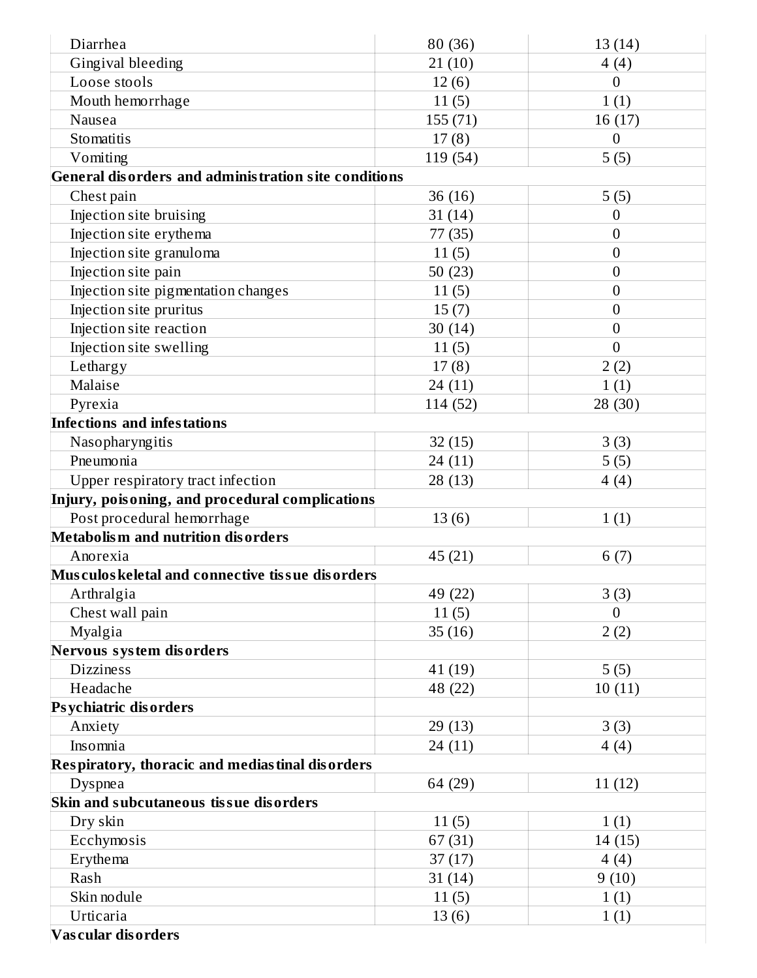| Diarrhea                                             | 80 (36)  | 13(14)           |
|------------------------------------------------------|----------|------------------|
| Gingival bleeding                                    | 21(10)   | 4(4)             |
| Loose stools                                         | 12(6)    | $\boldsymbol{0}$ |
| Mouth hemorrhage                                     | 11(5)    | 1(1)             |
| Nausea                                               | 155 (71) | 16 (17)          |
| Stomatitis                                           | 17(8)    | $\boldsymbol{0}$ |
| Vomiting                                             | 119 (54) | 5(5)             |
| General disorders and administration site conditions |          |                  |
| Chest pain                                           | 36(16)   | 5(5)             |
| Injection site bruising                              | 31(14)   | 0                |
| Injection site erythema                              | 77 (35)  | $\boldsymbol{0}$ |
| Injection site granuloma                             | 11(5)    | $\boldsymbol{0}$ |
| Injection site pain                                  | 50(23)   | $\boldsymbol{0}$ |
| Injection site pigmentation changes                  | 11(5)    | $\boldsymbol{0}$ |
| Injection site pruritus                              | 15(7)    | $\boldsymbol{0}$ |
| Injection site reaction                              | 30(14)   | $\mathbf{0}$     |
| Injection site swelling                              | 11(5)    | $\overline{0}$   |
| Lethargy                                             | 17(8)    | 2(2)             |
| Malaise                                              | 24 (11)  | 1(1)             |
| Pyrexia                                              | 114 (52) | 28 (30)          |
| <b>Infections and infestations</b>                   |          |                  |
| Nasopharyngitis                                      | 32(15)   | 3(3)             |
| Pneumonia                                            | 24 (11)  | 5(5)             |
| Upper respiratory tract infection                    | 28 (13)  | 4(4)             |
| Injury, poisoning, and procedural complications      |          |                  |
| Post procedural hemorrhage                           | 13(6)    | 1(1)             |
| Metabolism and nutrition disorders                   |          |                  |
| Anorexia                                             | 45 (21)  | 6(7)             |
| Musculos keletal and connective tissue disorders     |          |                  |
| Arthralgia                                           | 49 (22)  | 3(3)             |
| Chest wall pain                                      | 11(5)    | $\overline{0}$   |
| Myalgia                                              | 35(16)   | 2(2)             |
| Nervous system disorders                             |          |                  |
| <b>Dizziness</b>                                     | 41 (19)  | 5(5)             |
| Headache                                             | 48 (22)  | 10(11)           |
| <b>Psychiatric disorders</b>                         |          |                  |
| Anxiety                                              | 29(13)   | 3(3)             |
| Insomnia                                             | 24 (11)  | 4(4)             |
| Respiratory, thoracic and mediastinal disorders      |          |                  |
| Dyspnea                                              | 64 (29)  | 11(12)           |
| Skin and subcutaneous tissue disorders               |          |                  |
| Dry skin                                             | 11(5)    | 1(1)             |
| Ecchymosis                                           | 67(31)   | 14(15)           |
| Erythema                                             | 37(17)   | 4(4)             |
| Rash                                                 | 31(14)   | 9(10)            |
| Skin nodule                                          | 11(5)    | 1(1)             |
| Urticaria                                            | 13(6)    | 1(1)             |
| Vascular disorders                                   |          |                  |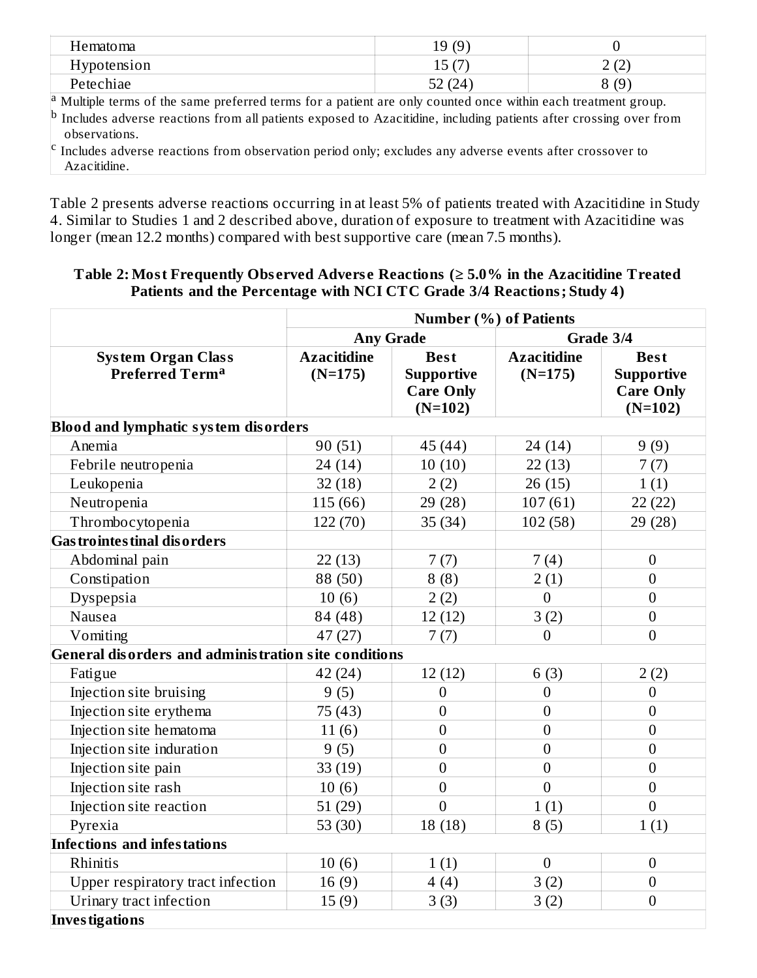| Hematoma           | 19(9)                |                        |
|--------------------|----------------------|------------------------|
| <b>Hypotension</b> | $1 \Gamma$ (7)<br>⊥∪ | ורז ר<br>╶<br><u>_</u> |
| Petechiae          | 52 (24)<br>۵Z        | 8(9)                   |

<sup>a</sup> Multiple terms of the same preferred terms for a patient are only counted once within each treatment group. Includes adverse reactions from all patients exposed to Azacitidine, including patients after crossing over from observations. b

 $\rm ^c$  Includes adverse reactions from observation period only; excludes any adverse events after crossover to Azacitidine.

Table 2 presents adverse reactions occurring in at least 5% of patients treated with Azacitidine in Study 4. Similar to Studies 1 and 2 described above, duration of exposure to treatment with Azacitidine was longer (mean 12.2 months) compared with best supportive care (mean 7.5 months).

#### **Table 2: Most Frequently Obs erved Advers e Reactions (≥ 5.0% in the Azacitidine Treated Patients and the Percentage with NCI CTC Grade 3/4 Reactions; Study 4)**

|                                                      | <b>Number (%) of Patients</b>   |                                                                   |                                 |                                                                   |  |  |
|------------------------------------------------------|---------------------------------|-------------------------------------------------------------------|---------------------------------|-------------------------------------------------------------------|--|--|
|                                                      | <b>Any Grade</b>                |                                                                   | Grade 3/4                       |                                                                   |  |  |
| <b>System Organ Class</b><br><b>Preferred Terma</b>  | <b>Azacitidine</b><br>$(N=175)$ | <b>Best</b><br><b>Supportive</b><br><b>Care Only</b><br>$(N=102)$ | <b>Azacitidine</b><br>$(N=175)$ | <b>Best</b><br><b>Supportive</b><br><b>Care Only</b><br>$(N=102)$ |  |  |
| <b>Blood and lymphatic system disorders</b>          |                                 |                                                                   |                                 |                                                                   |  |  |
| Anemia                                               | 90(51)                          | 45 (44)                                                           | 24 (14)                         | 9(9)                                                              |  |  |
| Febrile neutropenia                                  | 24(14)                          | 10(10)                                                            | 22(13)                          | 7(7)                                                              |  |  |
| Leukopenia                                           | 32(18)                          | 2(2)                                                              | 26(15)                          | 1(1)                                                              |  |  |
| Neutropenia                                          | 115 (66)                        | 29 (28)                                                           | 107(61)                         | 22(22)                                                            |  |  |
| Thrombocytopenia                                     | 122 (70)                        | 35(34)                                                            | 102(58)                         | 29 (28)                                                           |  |  |
| <b>Gas trointes tinal dis orders</b>                 |                                 |                                                                   |                                 |                                                                   |  |  |
| Abdominal pain                                       | 22(13)                          | 7(7)                                                              | 7(4)                            | $\boldsymbol{0}$                                                  |  |  |
| Constipation                                         | 88 (50)                         | 8(8)                                                              | 2(1)                            | $\boldsymbol{0}$                                                  |  |  |
| Dyspepsia                                            | 10(6)                           | 2(2)                                                              | $\boldsymbol{0}$                | $\boldsymbol{0}$                                                  |  |  |
| Nausea                                               | 84 (48)                         | 12(12)                                                            | 3(2)                            | $\boldsymbol{0}$                                                  |  |  |
| Vomiting                                             | 47 (27)                         | 7(7)                                                              | $\boldsymbol{0}$                | $\overline{0}$                                                    |  |  |
| General disorders and administration site conditions |                                 |                                                                   |                                 |                                                                   |  |  |
| Fatigue                                              | 42 (24)                         | 12(12)                                                            | 6(3)                            | 2(2)                                                              |  |  |
| Injection site bruising                              | 9(5)                            | $\boldsymbol{0}$                                                  | $\boldsymbol{0}$                | $\boldsymbol{0}$                                                  |  |  |
| Injection site erythema                              | 75 (43)                         | $\overline{0}$                                                    | $\overline{0}$                  | $\overline{0}$                                                    |  |  |
| Injection site hematoma                              | 11(6)                           | $\boldsymbol{0}$                                                  | $\overline{0}$                  | $\mathbf{0}$                                                      |  |  |
| Injection site induration                            | 9(5)                            | $\boldsymbol{0}$                                                  | $\mathbf{0}$                    | $\boldsymbol{0}$                                                  |  |  |
| Injection site pain                                  | 33(19)                          | $\boldsymbol{0}$                                                  | $\overline{0}$                  | $\boldsymbol{0}$                                                  |  |  |
| Injection site rash                                  | 10(6)                           | $\boldsymbol{0}$                                                  | $\overline{0}$                  | $\boldsymbol{0}$                                                  |  |  |
| Injection site reaction                              | 51(29)                          | $\overline{0}$                                                    | 1(1)                            | $\overline{0}$                                                    |  |  |
| Pyrexia                                              | 53 $(30)$                       | 18(18)                                                            | 8(5)                            | 1(1)                                                              |  |  |
| <b>Infections and infestations</b>                   |                                 |                                                                   |                                 |                                                                   |  |  |
| Rhinitis                                             | 10(6)                           | 1(1)                                                              | $\overline{0}$                  | $\boldsymbol{0}$                                                  |  |  |
| Upper respiratory tract infection                    | 16(9)                           | 4(4)                                                              | 3(2)                            | $\boldsymbol{0}$                                                  |  |  |
| Urinary tract infection                              | 15(9)                           | 3(3)                                                              | 3(2)                            | $\boldsymbol{0}$                                                  |  |  |
| Investigations                                       |                                 |                                                                   |                                 |                                                                   |  |  |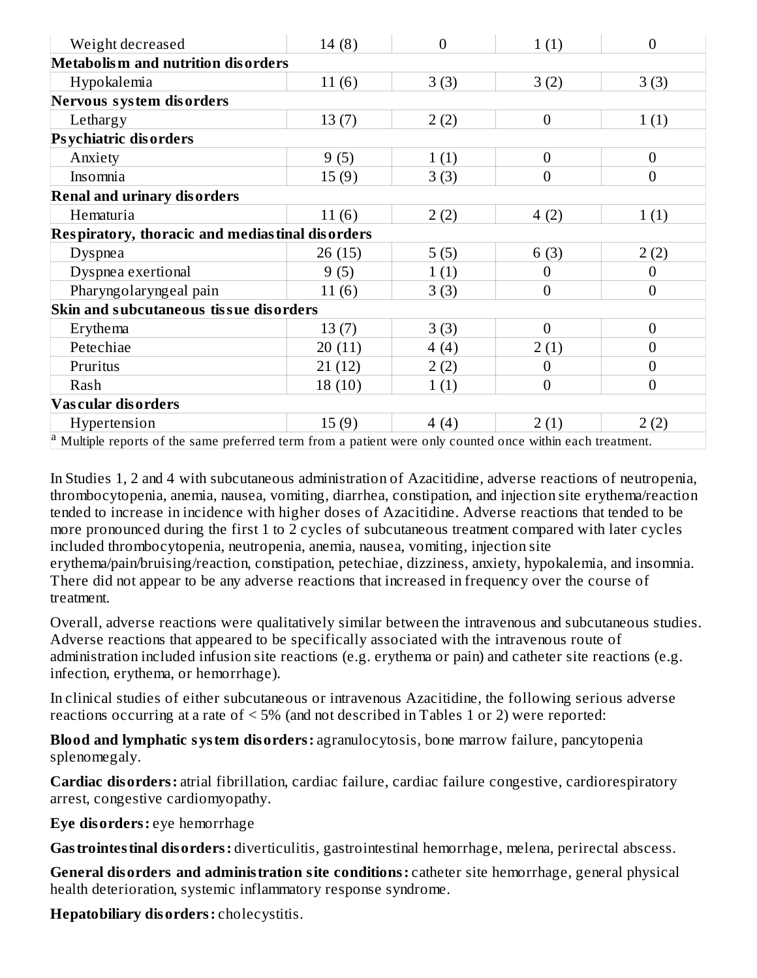| Weight decreased                                                                                         | 14(8)  | $\overline{0}$ | 1(1)             | $\overline{0}$   |
|----------------------------------------------------------------------------------------------------------|--------|----------------|------------------|------------------|
| Metabolism and nutrition disorders                                                                       |        |                |                  |                  |
| Hypokalemia                                                                                              | 11(6)  | 3(3)           | 3(2)             | 3(3)             |
| Nervous system disorders                                                                                 |        |                |                  |                  |
| Lethargy                                                                                                 | 13(7)  | 2(2)           | $\boldsymbol{0}$ | 1(1)             |
| <b>Psychiatric disorders</b>                                                                             |        |                |                  |                  |
| Anxiety                                                                                                  | 9(5)   | 1(1)           | $\overline{0}$   | $\overline{0}$   |
| Insomnia                                                                                                 | 15(9)  | 3(3)           | $\overline{0}$   | $\overline{0}$   |
| <b>Renal and urinary disorders</b>                                                                       |        |                |                  |                  |
| Hematuria                                                                                                | 11(6)  | 2(2)           | 4(2)             | 1(1)             |
| Respiratory, thoracic and mediastinal disorders                                                          |        |                |                  |                  |
| <b>Dyspnea</b>                                                                                           | 26(15) | 5(5)           | 6(3)             | 2(2)             |
| Dyspnea exertional                                                                                       | 9(5)   | 1(1)           | $\theta$         | $\boldsymbol{0}$ |
| Pharyngolaryngeal pain                                                                                   | 11(6)  | 3(3)           | $\overline{0}$   | $\overline{0}$   |
| Skin and subcutaneous tissue disorders                                                                   |        |                |                  |                  |
| Erythema                                                                                                 | 13(7)  | 3(3)           | $\theta$         | $\boldsymbol{0}$ |
| Petechiae                                                                                                | 20(11) | 4(4)           | 2(1)             | $\overline{0}$   |
| Pruritus                                                                                                 | 21(12) | 2(2)           | $\overline{0}$   | $\boldsymbol{0}$ |
| Rash                                                                                                     | 18(10) | 1(1)           | $\overline{0}$   | $\mathbf{0}$     |
| <b>Vascular disorders</b>                                                                                |        |                |                  |                  |
| Hypertension                                                                                             | 15(9)  | 4(4)           | 2(1)             | 2(2)             |
| Multiple reports of the same preferred term from a patient were only counted once within each treatment. |        |                |                  |                  |

In Studies 1, 2 and 4 with subcutaneous administration of Azacitidine, adverse reactions of neutropenia, thrombocytopenia, anemia, nausea, vomiting, diarrhea, constipation, and injection site erythema/reaction tended to increase in incidence with higher doses of Azacitidine. Adverse reactions that tended to be more pronounced during the first 1 to 2 cycles of subcutaneous treatment compared with later cycles included thrombocytopenia, neutropenia, anemia, nausea, vomiting, injection site erythema/pain/bruising/reaction, constipation, petechiae, dizziness, anxiety, hypokalemia, and insomnia. There did not appear to be any adverse reactions that increased in frequency over the course of treatment.

Overall, adverse reactions were qualitatively similar between the intravenous and subcutaneous studies. Adverse reactions that appeared to be specifically associated with the intravenous route of administration included infusion site reactions (e.g. erythema or pain) and catheter site reactions (e.g. infection, erythema, or hemorrhage).

In clinical studies of either subcutaneous or intravenous Azacitidine, the following serious adverse reactions occurring at a rate of < 5% (and not described in Tables 1 or 2) were reported:

**Blood and lymphatic system disorders:** agranulocytosis, bone marrow failure, pancytopenia splenomegaly.

**Cardiac disorders:** atrial fibrillation, cardiac failure, cardiac failure congestive, cardiorespiratory arrest, congestive cardiomyopathy.

**Eye disorders:** eye hemorrhage

**Gastrointestinal disorders:** diverticulitis, gastrointestinal hemorrhage, melena, perirectal abscess.

**General disorders and administration site conditions:** catheter site hemorrhage, general physical health deterioration, systemic inflammatory response syndrome.

**Hepatobiliary disorders:** cholecystitis.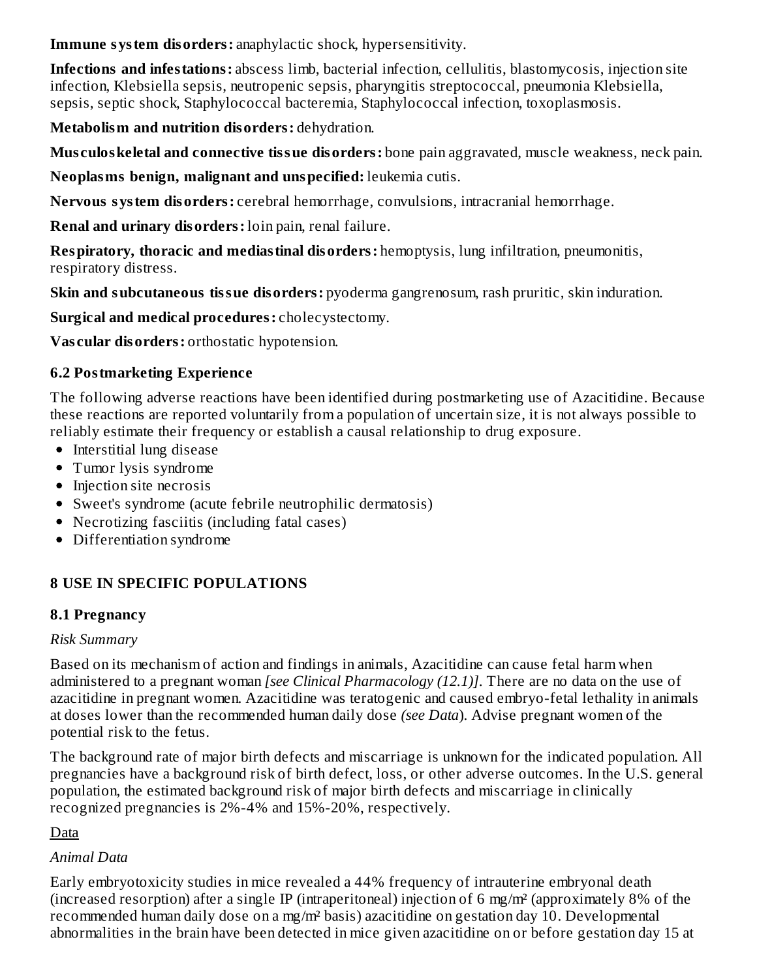**Immune system disorders:** anaphylactic shock, hypersensitivity.

**Infections and infestations:** abscess limb, bacterial infection, cellulitis, blastomycosis, injection site infection, Klebsiella sepsis, neutropenic sepsis, pharyngitis streptococcal, pneumonia Klebsiella, sepsis, septic shock, Staphylococcal bacteremia, Staphylococcal infection, toxoplasmosis.

**Metabolism and nutrition disorders:** dehydration.

**Mus culoskeletal and connective tissue disorders:** bone pain aggravated, muscle weakness, neck pain.

**Neoplasms benign, malignant and unspecified:** leukemia cutis.

**Nervous system disorders:** cerebral hemorrhage, convulsions, intracranial hemorrhage.

**Renal and urinary disorders:** loin pain, renal failure.

**Respiratory, thoracic and mediastinal disorders:** hemoptysis, lung infiltration, pneumonitis, respiratory distress.

**Skin and subcutaneous tissue disorders:** pyoderma gangrenosum, rash pruritic, skin induration.

**Surgical and medical procedures:** cholecystectomy.

**Vas cular disorders:** orthostatic hypotension.

# **6.2 Postmarketing Experience**

The following adverse reactions have been identified during postmarketing use of Azacitidine. Because these reactions are reported voluntarily from a population of uncertain size, it is not always possible to reliably estimate their frequency or establish a causal relationship to drug exposure.

- Interstitial lung disease
- Tumor lysis syndrome
- Injection site necrosis
- Sweet's syndrome (acute febrile neutrophilic dermatosis)
- Necrotizing fasciitis (including fatal cases)
- Differentiation syndrome

# **8 USE IN SPECIFIC POPULATIONS**

# **8.1 Pregnancy**

#### *Risk Summary*

Based on its mechanism of action and findings in animals, Azacitidine can cause fetal harm when administered to a pregnant woman *[see Clinical Pharmacology (12.1)]*. There are no data on the use of azacitidine in pregnant women. Azacitidine was teratogenic and caused embryo-fetal lethality in animals at doses lower than the recommended human daily dose *(see Data*). Advise pregnant women of the potential risk to the fetus.

The background rate of major birth defects and miscarriage is unknown for the indicated population. All pregnancies have a background risk of birth defect, loss, or other adverse outcomes. In the U.S. general population, the estimated background risk of major birth defects and miscarriage in clinically recognized pregnancies is 2%-4% and 15%-20%, respectively.

Data

# *Animal Data*

Early embryotoxicity studies in mice revealed a 44% frequency of intrauterine embryonal death (increased resorption) after a single IP (intraperitoneal) injection of 6 mg/m² (approximately 8% of the recommended human daily dose on a mg/m² basis) azacitidine on gestation day 10. Developmental abnormalities in the brain have been detected in mice given azacitidine on or before gestation day 15 at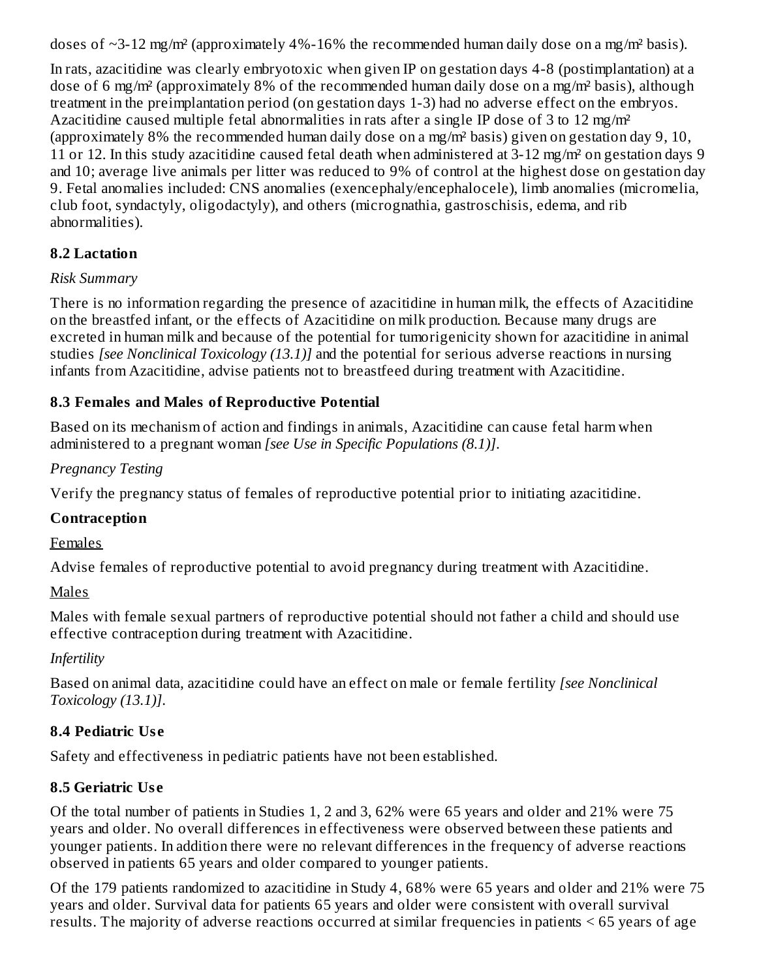doses of  $\sim$ 3-12 mg/m<sup>2</sup> (approximately 4%-16% the recommended human daily dose on a mg/m<sup>2</sup> basis).

In rats, azacitidine was clearly embryotoxic when given IP on gestation days 4-8 (postimplantation) at a dose of 6 mg/m² (approximately 8% of the recommended human daily dose on a mg/m² basis), although treatment in the preimplantation period (on gestation days 1-3) had no adverse effect on the embryos. Azacitidine caused multiple fetal abnormalities in rats after a single IP dose of 3 to 12 mg/m² (approximately 8% the recommended human daily dose on a mg/m² basis) given on gestation day 9, 10, 11 or 12. In this study azacitidine caused fetal death when administered at 3-12 mg/m² on gestation days 9 and 10; average live animals per litter was reduced to 9% of control at the highest dose on gestation day 9. Fetal anomalies included: CNS anomalies (exencephaly/encephalocele), limb anomalies (micromelia, club foot, syndactyly, oligodactyly), and others (micrognathia, gastroschisis, edema, and rib abnormalities).

# **8.2 Lactation**

### *Risk Summary*

There is no information regarding the presence of azacitidine in human milk, the effects of Azacitidine on the breastfed infant, or the effects of Azacitidine on milk production. Because many drugs are excreted in human milk and because of the potential for tumorigenicity shown for azacitidine in animal studies *[see Nonclinical Toxicology (13.1)]* and the potential for serious adverse reactions in nursing infants from Azacitidine, advise patients not to breastfeed during treatment with Azacitidine.

# **8.3 Females and Males of Reproductive Potential**

Based on its mechanism of action and findings in animals, Azacitidine can cause fetal harm when administered to a pregnant woman *[see Use in Specific Populations (8.1)]*.

### *Pregnancy Testing*

Verify the pregnancy status of females of reproductive potential prior to initiating azacitidine.

# **Contraception**

Females

Advise females of reproductive potential to avoid pregnancy during treatment with Azacitidine.

Males

Males with female sexual partners of reproductive potential should not father a child and should use effective contraception during treatment with Azacitidine.

*Infertility*

Based on animal data, azacitidine could have an effect on male or female fertility *[see Nonclinical Toxicology (13.1)]*.

# **8.4 Pediatric Us e**

Safety and effectiveness in pediatric patients have not been established.

# **8.5 Geriatric Us e**

Of the total number of patients in Studies 1, 2 and 3, 62% were 65 years and older and 21% were 75 years and older. No overall differences in effectiveness were observed between these patients and younger patients. In addition there were no relevant differences in the frequency of adverse reactions observed in patients 65 years and older compared to younger patients.

Of the 179 patients randomized to azacitidine in Study 4, 68% were 65 years and older and 21% were 75 years and older. Survival data for patients 65 years and older were consistent with overall survival results. The majority of adverse reactions occurred at similar frequencies in patients < 65 years of age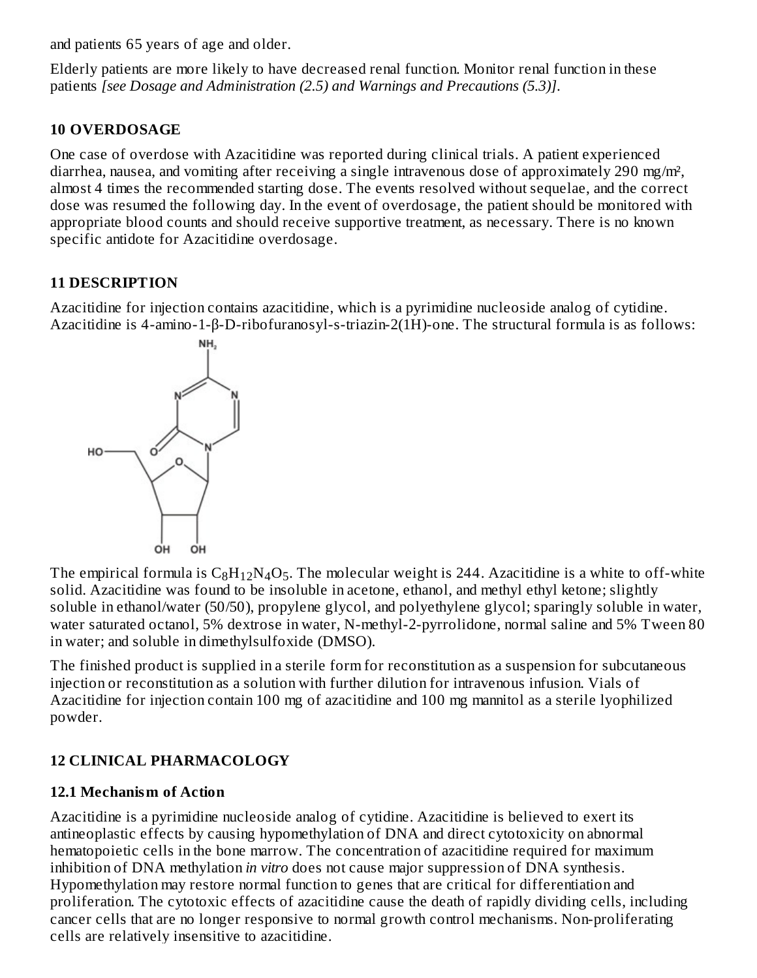and patients 65 years of age and older.

Elderly patients are more likely to have decreased renal function. Monitor renal function in these patients *[see Dosage and Administration (2.5) and Warnings and Precautions (5.3)]*.

# **10 OVERDOSAGE**

One case of overdose with Azacitidine was reported during clinical trials. A patient experienced diarrhea, nausea, and vomiting after receiving a single intravenous dose of approximately 290 mg/m², almost 4 times the recommended starting dose. The events resolved without sequelae, and the correct dose was resumed the following day. In the event of overdosage, the patient should be monitored with appropriate blood counts and should receive supportive treatment, as necessary. There is no known specific antidote for Azacitidine overdosage.

# **11 DESCRIPTION**

Azacitidine for injection contains azacitidine, which is a pyrimidine nucleoside analog of cytidine. Azacitidine is 4-amino-1-β-D-ribofuranosyl-s-triazin-2(1H)-one. The structural formula is as follows:



The empirical formula is  $\rm{C_8H_{12}N_4O_5}$ . The molecular weight is 244. Azacitidine is a white to off-white solid. Azacitidine was found to be insoluble in acetone, ethanol, and methyl ethyl ketone; slightly soluble in ethanol/water (50/50), propylene glycol, and polyethylene glycol; sparingly soluble in water, water saturated octanol, 5% dextrose in water, N-methyl-2-pyrrolidone, normal saline and 5% Tween 80 in water; and soluble in dimethylsulfoxide (DMSO).

The finished product is supplied in a sterile form for reconstitution as a suspension for subcutaneous injection or reconstitution as a solution with further dilution for intravenous infusion. Vials of Azacitidine for injection contain 100 mg of azacitidine and 100 mg mannitol as a sterile lyophilized powder.

# **12 CLINICAL PHARMACOLOGY**

# **12.1 Mechanism of Action**

Azacitidine is a pyrimidine nucleoside analog of cytidine. Azacitidine is believed to exert its antineoplastic effects by causing hypomethylation of DNA and direct cytotoxicity on abnormal hematopoietic cells in the bone marrow. The concentration of azacitidine required for maximum inhibition of DNA methylation *in vitro* does not cause major suppression of DNA synthesis. Hypomethylation may restore normal function to genes that are critical for differentiation and proliferation. The cytotoxic effects of azacitidine cause the death of rapidly dividing cells, including cancer cells that are no longer responsive to normal growth control mechanisms. Non-proliferating cells are relatively insensitive to azacitidine.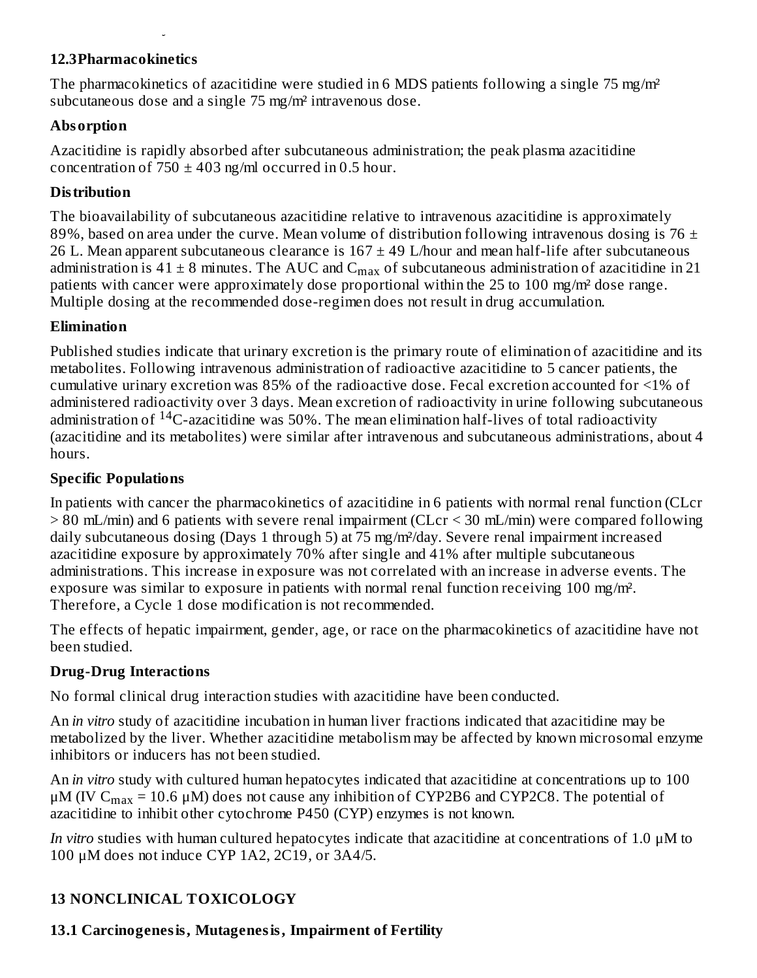#### **12.3Pharmacokinetics**

cells are relatively insensitive to azacitidine.

The pharmacokinetics of azacitidine were studied in 6 MDS patients following a single 75 mg/m<sup>2</sup> subcutaneous dose and a single 75 mg/m² intravenous dose.

# **Absorption**

Azacitidine is rapidly absorbed after subcutaneous administration; the peak plasma azacitidine concentration of  $750 \pm 403$  ng/ml occurred in 0.5 hour.

# **Distribution**

The bioavailability of subcutaneous azacitidine relative to intravenous azacitidine is approximately 89%, based on area under the curve. Mean volume of distribution following intravenous dosing is 76  $\pm$ 26 L. Mean apparent subcutaneous clearance is  $167 \pm 49$  L/hour and mean half-life after subcutaneous administration is 41  $\pm$  8 minutes. The AUC and C $_{\rm max}$  of subcutaneous administration of azacitidine in 21 patients with cancer were approximately dose proportional within the 25 to 100 mg/m² dose range. Multiple dosing at the recommended dose-regimen does not result in drug accumulation.

### **Elimination**

Published studies indicate that urinary excretion is the primary route of elimination of azacitidine and its metabolites. Following intravenous administration of radioactive azacitidine to 5 cancer patients, the cumulative urinary excretion was 85% of the radioactive dose. Fecal excretion accounted for <1% of administered radioactivity over 3 days. Mean excretion of radioactivity in urine following subcutaneous administration of <sup>14</sup>C-azacitidine was 50%. The mean elimination half-lives of total radioactivity (azacitidine and its metabolites) were similar after intravenous and subcutaneous administrations, about 4 hours.

### **Specific Populations**

In patients with cancer the pharmacokinetics of azacitidine in 6 patients with normal renal function (CLcr > 80 mL/min) and 6 patients with severe renal impairment (CLcr < 30 mL/min) were compared following daily subcutaneous dosing (Days 1 through 5) at 75 mg/m<sup>2</sup>/day. Severe renal impairment increased azacitidine exposure by approximately 70% after single and 41% after multiple subcutaneous administrations. This increase in exposure was not correlated with an increase in adverse events. The exposure was similar to exposure in patients with normal renal function receiving 100 mg/m². Therefore, a Cycle 1 dose modification is not recommended.

The effects of hepatic impairment, gender, age, or race on the pharmacokinetics of azacitidine have not been studied.

# **Drug-Drug Interactions**

No formal clinical drug interaction studies with azacitidine have been conducted.

An *in vitro* study of azacitidine incubation in human liver fractions indicated that azacitidine may be metabolized by the liver. Whether azacitidine metabolism may be affected by known microsomal enzyme inhibitors or inducers has not been studied.

An *in vitro* study with cultured human hepatocytes indicated that azacitidine at concentrations up to 100 μΜ (IV C $_{\rm max}$  = 10.6 μM) does not cause any inhibition of CYP2B6 and CYP2C8. The potential of azacitidine to inhibit other cytochrome P450 (CYP) enzymes is not known.

*In vitro* studies with human cultured hepatocytes indicate that azacitidine at concentrations of 1.0 μM to 100 μM does not induce CYP 1A2, 2C19, or 3A4/5.

# **13 NONCLINICAL TOXICOLOGY**

# **13.1 Carcinogenesis, Mutagenesis, Impairment of Fertility**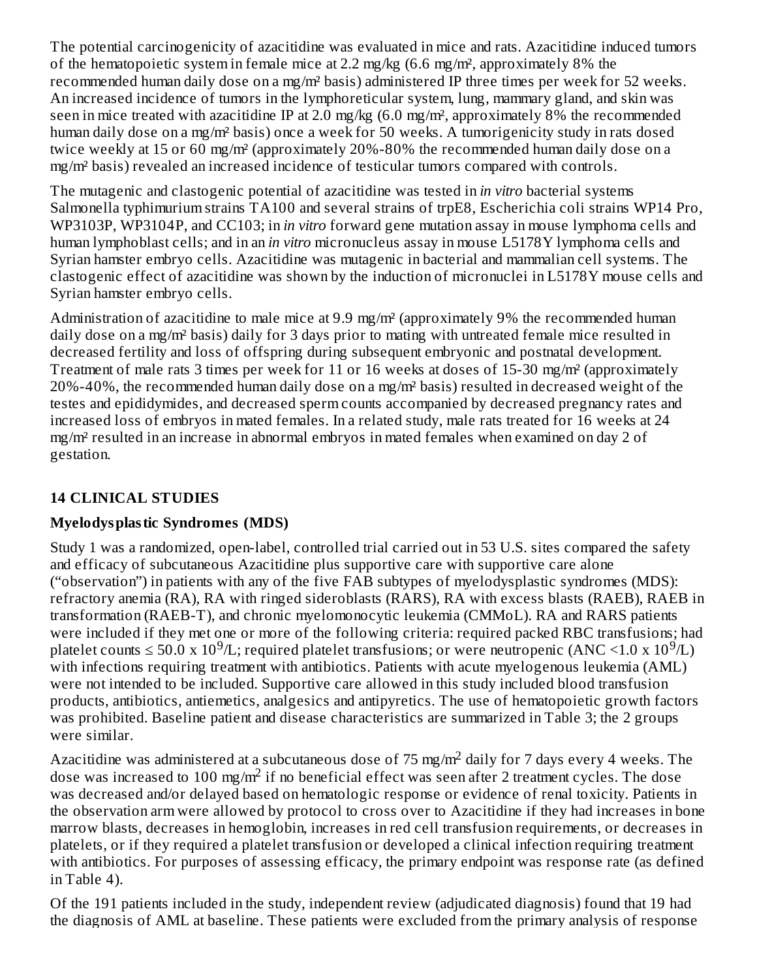The potential carcinogenicity of azacitidine was evaluated in mice and rats. Azacitidine induced tumors of the hematopoietic system in female mice at 2.2 mg/kg  $(6.6 \text{ mg/m}^2, \text{approximated by } 8\% \text{ the}$ recommended human daily dose on a mg/m² basis) administered IP three times per week for 52 weeks. An increased incidence of tumors in the lymphoreticular system, lung, mammary gland, and skin was seen in mice treated with azacitidine IP at 2.0 mg/kg (6.0 mg/m<sup>2</sup>, approximately 8% the recommended human daily dose on a mg/m² basis) once a week for 50 weeks. A tumorigenicity study in rats dosed twice weekly at 15 or 60 mg/m² (approximately 20%-80% the recommended human daily dose on a mg/m² basis) revealed an increased incidence of testicular tumors compared with controls.

The mutagenic and clastogenic potential of azacitidine was tested in *in vitro* bacterial systems Salmonella typhimurium strains TA100 and several strains of trpE8, Escherichia coli strains WP14 Pro, WP3103P, WP3104P, and CC103; in *in vitro* forward gene mutation assay in mouse lymphoma cells and human lymphoblast cells; and in an *in vitro* micronucleus assay in mouse L5178Y lymphoma cells and Syrian hamster embryo cells. Azacitidine was mutagenic in bacterial and mammalian cell systems. The clastogenic effect of azacitidine was shown by the induction of micronuclei in L5178Y mouse cells and Syrian hamster embryo cells.

Administration of azacitidine to male mice at 9.9 mg/m² (approximately 9% the recommended human daily dose on a mg/m<sup>2</sup> basis) daily for 3 days prior to mating with untreated female mice resulted in decreased fertility and loss of offspring during subsequent embryonic and postnatal development. Treatment of male rats 3 times per week for 11 or 16 weeks at doses of 15-30 mg/m² (approximately 20%-40%, the recommended human daily dose on a mg/m² basis) resulted in decreased weight of the testes and epididymides, and decreased sperm counts accompanied by decreased pregnancy rates and increased loss of embryos in mated females. In a related study, male rats treated for 16 weeks at 24 mg/m² resulted in an increase in abnormal embryos in mated females when examined on day 2 of gestation.

# **14 CLINICAL STUDIES**

# **Myelodysplastic Syndromes (MDS)**

Study 1 was a randomized, open-label, controlled trial carried out in 53 U.S. sites compared the safety and efficacy of subcutaneous Azacitidine plus supportive care with supportive care alone ("observation") in patients with any of the five FAB subtypes of myelodysplastic syndromes (MDS): refractory anemia (RA), RA with ringed sideroblasts (RARS), RA with excess blasts (RAEB), RAEB in transformation (RAEB-T), and chronic myelomonocytic leukemia (CMMoL). RA and RARS patients were included if they met one or more of the following criteria: required packed RBC transfusions; had platelet counts  $\leq 50.0 \times 10^9$ /L; required platelet transfusions; or were neutropenic (ANC <1.0 x  $10^9$ /L) with infections requiring treatment with antibiotics. Patients with acute myelogenous leukemia (AML) were not intended to be included. Supportive care allowed in this study included blood transfusion products, antibiotics, antiemetics, analgesics and antipyretics. The use of hematopoietic growth factors was prohibited. Baseline patient and disease characteristics are summarized in Table 3; the 2 groups were similar.

Azacitidine was administered at a subcutaneous dose of 75 mg/m<sup>2</sup> daily for 7 days every 4 weeks. The dose was increased to 100 mg/m<sup>2</sup> if no beneficial effect was seen after 2 treatment cycles. The dose was decreased and/or delayed based on hematologic response or evidence of renal toxicity. Patients in the observation arm were allowed by protocol to cross over to Azacitidine if they had increases in bone marrow blasts, decreases in hemoglobin, increases in red cell transfusion requirements, or decreases in platelets, or if they required a platelet transfusion or developed a clinical infection requiring treatment with antibiotics. For purposes of assessing efficacy, the primary endpoint was response rate (as defined in Table 4).

Of the 191 patients included in the study, independent review (adjudicated diagnosis) found that 19 had the diagnosis of AML at baseline. These patients were excluded from the primary analysis of response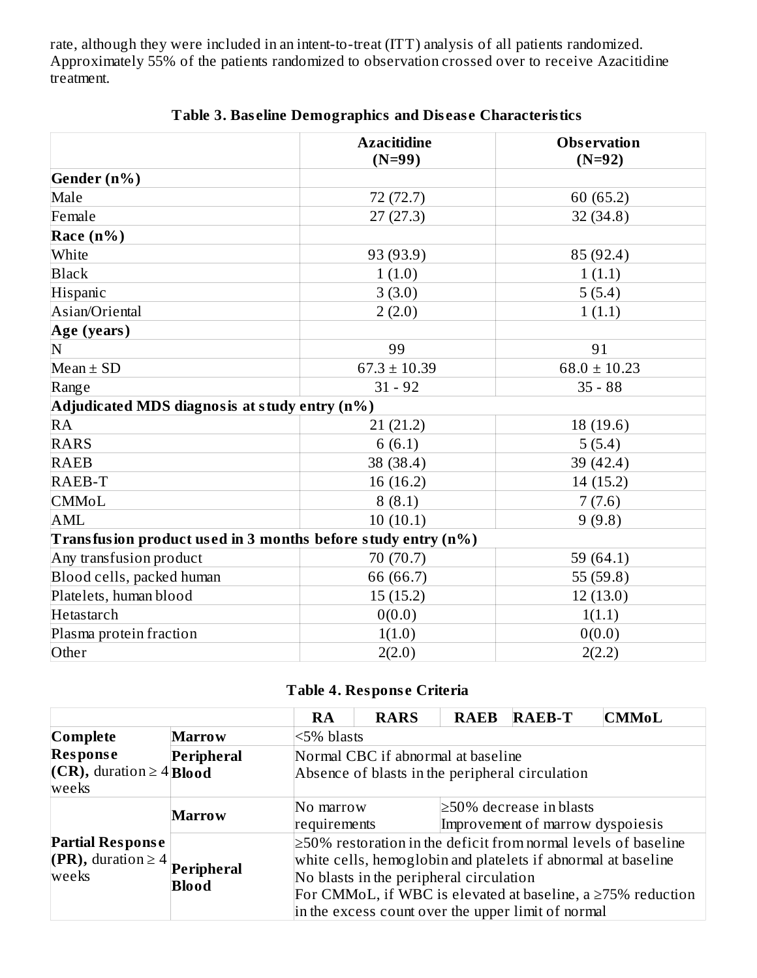rate, although they were included in an intent-to-treat (ITT) analysis of all patients randomized. Approximately 55% of the patients randomized to observation crossed over to receive Azacitidine treatment.

|                                                              | <b>Azacitidine</b><br>$(N=99)$ | <b>Observation</b><br>$(N=92)$ |
|--------------------------------------------------------------|--------------------------------|--------------------------------|
| Gender (n%)                                                  |                                |                                |
| Male                                                         | 72 (72.7)                      | 60 (65.2)                      |
| Female                                                       | 27(27.3)                       | 32 (34.8)                      |
| Race $(n\%)$                                                 |                                |                                |
| White                                                        | 93 (93.9)                      | 85 (92.4)                      |
| <b>Black</b>                                                 | 1(1.0)                         | 1(1.1)                         |
| Hispanic                                                     | 3(3.0)                         | 5(5.4)                         |
| Asian/Oriental                                               | 2(2.0)                         | 1(1.1)                         |
| Age (years)                                                  |                                |                                |
| N                                                            | 99                             | 91                             |
| Mean $\pm$ SD                                                | $67.3 \pm 10.39$               | $68.0 \pm 10.23$               |
| Range                                                        | $31 - 92$                      | $35 - 88$                      |
| Adjudicated MDS diagnosis at study entry (n%)                |                                |                                |
| <b>RA</b>                                                    | 21(21.2)                       | 18 (19.6)                      |
| <b>RARS</b>                                                  | 6(6.1)                         | 5(5.4)                         |
| <b>RAEB</b>                                                  | 38 (38.4)                      | 39 (42.4)                      |
| RAEB-T                                                       | 16 (16.2)                      | 14 (15.2)                      |
| <b>CMMoL</b>                                                 | 8(8.1)                         | 7(7.6)                         |
| <b>AML</b>                                                   | 10(10.1)                       | 9(9.8)                         |
| Transfusion product used in 3 months before study entry (n%) |                                |                                |
| Any transfusion product                                      | 70 (70.7)                      | 59 (64.1)                      |
| Blood cells, packed human                                    | 66 (66.7)                      | 55 (59.8)                      |
| Platelets, human blood                                       | 15(15.2)                       | 12(13.0)                       |
| Hetastarch                                                   | 0(0.0)                         | 1(1.1)                         |
| Plasma protein fraction                                      | 1(1.0)                         | 0(0.0)                         |
| Other                                                        | 2(2.0)                         | 2(2.2)                         |

### **Table 3. Bas eline Demographics and Dis eas e Characteristics**

### **Table 4. Respons e Criteria**

|                                         |                                                         | <b>RA</b>                                                                                                                             | <b>RARS</b>                        | <b>RAEB</b>                   | <b>RAEB-T</b> | <b>CMMoL</b> |
|-----------------------------------------|---------------------------------------------------------|---------------------------------------------------------------------------------------------------------------------------------------|------------------------------------|-------------------------------|---------------|--------------|
| Complete                                | <b>Marrow</b>                                           | <5% blasts                                                                                                                            |                                    |                               |               |              |
| <b>Response</b>                         | <b>Peripheral</b>                                       |                                                                                                                                       | Normal CBC if abnormal at baseline |                               |               |              |
| $(CR)$ , duration $\geq 4$ <b>Blood</b> |                                                         | Absence of blasts in the peripheral circulation                                                                                       |                                    |                               |               |              |
| weeks                                   |                                                         |                                                                                                                                       |                                    |                               |               |              |
| <b>Marrow</b>                           |                                                         | No marrow                                                                                                                             |                                    | $\geq$ 50% decrease in blasts |               |              |
|                                         |                                                         | Improvement of marrow dyspoiesis<br>requirements                                                                                      |                                    |                               |               |              |
| <b>Partial Response</b>                 |                                                         | $\geq$ 50% restoration in the deficit from normal levels of baseline<br>white cells, hemoglobin and platelets if abnormal at baseline |                                    |                               |               |              |
| $(PR)$ , duration $\geq 4$ .            | Peripheral                                              |                                                                                                                                       |                                    |                               |               |              |
| weeks                                   | No blasts in the peripheral circulation<br><b>Blood</b> |                                                                                                                                       |                                    |                               |               |              |
|                                         |                                                         | For CMMoL, if WBC is elevated at baseline, a $\geq$ 75% reduction<br>in the excess count over the upper limit of normal               |                                    |                               |               |              |
|                                         |                                                         |                                                                                                                                       |                                    |                               |               |              |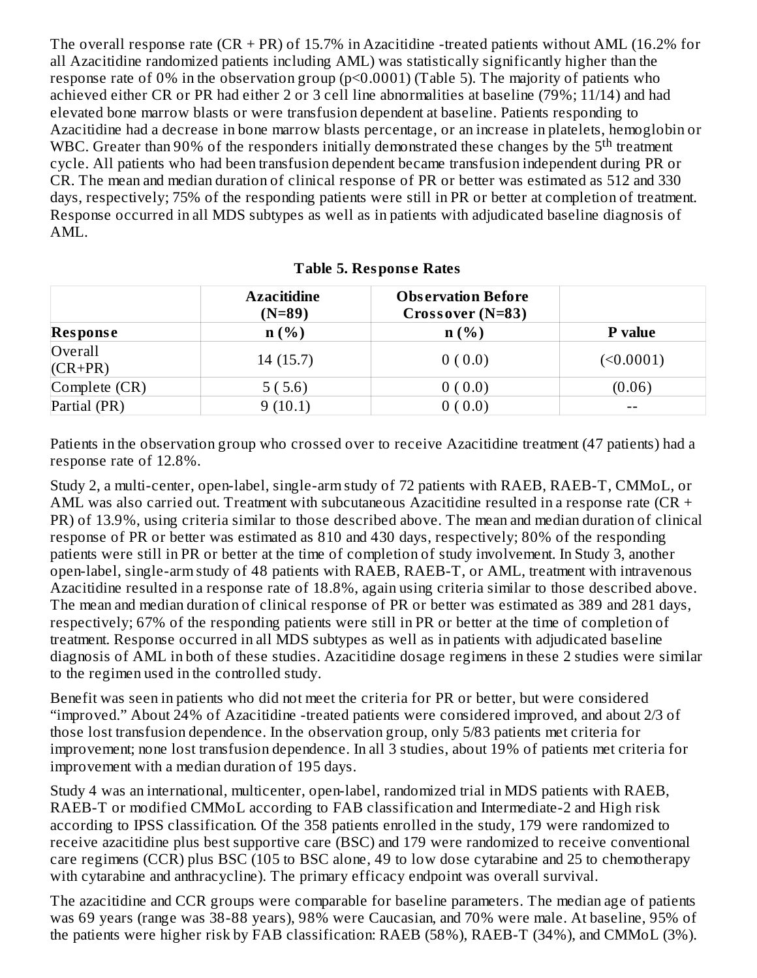The overall response rate  $(CR + PR)$  of 15.7% in Azacitidine -treated patients without AML (16.2% for all Azacitidine randomized patients including AML) was statistically significantly higher than the response rate of 0% in the observation group (p<0.0001) (Table 5). The majority of patients who achieved either CR or PR had either 2 or 3 cell line abnormalities at baseline (79%; 11/14) and had elevated bone marrow blasts or were transfusion dependent at baseline. Patients responding to Azacitidine had a decrease in bone marrow blasts percentage, or an increase in platelets, hemoglobin or WBC. Greater than 90% of the responders initially demonstrated these changes by the  $5<sup>th</sup>$  treatment cycle. All patients who had been transfusion dependent became transfusion independent during PR or CR. The mean and median duration of clinical response of PR or better was estimated as 512 and 330 days, respectively; 75% of the responding patients were still in PR or better at completion of treatment. Response occurred in all MDS subtypes as well as in patients with adjudicated baseline diagnosis of AML.

|                      | <b>Azacitidine</b><br>$(N=89)$ | <b>Observation Before</b><br>$Crossover(N=83)$ |           |
|----------------------|--------------------------------|------------------------------------------------|-----------|
| <b>Response</b>      | n(%)                           | n(%)                                           | P value   |
| Overall<br>$(CR+PR)$ | 14(15.7)                       | 0(0.0)                                         | (<0.0001) |
| Complete (CR)        | 5(5.6)                         | 0(0.0)                                         | (0.06)    |
| Partial (PR)         | 9(10.1)                        | 0(0.0)                                         | --        |

**Table 5. Respons e Rates**

Patients in the observation group who crossed over to receive Azacitidine treatment (47 patients) had a response rate of 12.8%.

Study 2, a multi-center, open-label, single-arm study of 72 patients with RAEB, RAEB-T, CMMoL, or AML was also carried out. Treatment with subcutaneous Azacitidine resulted in a response rate ( $CR +$ PR) of 13.9%, using criteria similar to those described above. The mean and median duration of clinical response of PR or better was estimated as 810 and 430 days, respectively; 80% of the responding patients were still in PR or better at the time of completion of study involvement. In Study 3, another open-label, single-arm study of 48 patients with RAEB, RAEB-T, or AML, treatment with intravenous Azacitidine resulted in a response rate of 18.8%, again using criteria similar to those described above. The mean and median duration of clinical response of PR or better was estimated as 389 and 281 days, respectively; 67% of the responding patients were still in PR or better at the time of completion of treatment. Response occurred in all MDS subtypes as well as in patients with adjudicated baseline diagnosis of AML in both of these studies. Azacitidine dosage regimens in these 2 studies were similar to the regimen used in the controlled study.

Benefit was seen in patients who did not meet the criteria for PR or better, but were considered "improved." About 24% of Azacitidine -treated patients were considered improved, and about 2/3 of those lost transfusion dependence. In the observation group, only 5/83 patients met criteria for improvement; none lost transfusion dependence. In all 3 studies, about 19% of patients met criteria for improvement with a median duration of 195 days.

Study 4 was an international, multicenter, open-label, randomized trial in MDS patients with RAEB, RAEB-T or modified CMMoL according to FAB classification and Intermediate-2 and High risk according to IPSS classification. Of the 358 patients enrolled in the study, 179 were randomized to receive azacitidine plus best supportive care (BSC) and 179 were randomized to receive conventional care regimens (CCR) plus BSC (105 to BSC alone, 49 to low dose cytarabine and 25 to chemotherapy with cytarabine and anthracycline). The primary efficacy endpoint was overall survival.

The azacitidine and CCR groups were comparable for baseline parameters. The median age of patients was 69 years (range was 38-88 years), 98% were Caucasian, and 70% were male. At baseline, 95% of the patients were higher risk by FAB classification: RAEB (58%), RAEB-T (34%), and CMMoL (3%).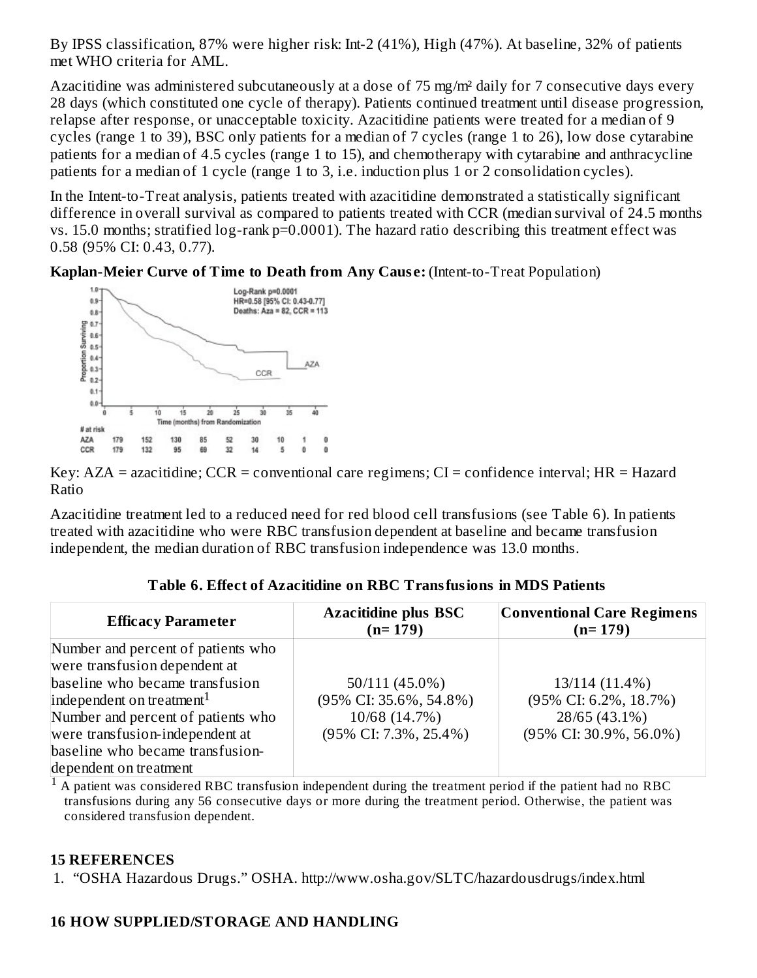By IPSS classification, 87% were higher risk: Int-2 (41%), High (47%). At baseline, 32% of patients met WHO criteria for AML.

Azacitidine was administered subcutaneously at a dose of 75 mg/m² daily for 7 consecutive days every 28 days (which constituted one cycle of therapy). Patients continued treatment until disease progression, relapse after response, or unacceptable toxicity. Azacitidine patients were treated for a median of 9 cycles (range 1 to 39), BSC only patients for a median of 7 cycles (range 1 to 26), low dose cytarabine patients for a median of 4.5 cycles (range 1 to 15), and chemotherapy with cytarabine and anthracycline patients for a median of 1 cycle (range 1 to 3, i.e. induction plus 1 or 2 consolidation cycles).

In the Intent-to-Treat analysis, patients treated with azacitidine demonstrated a statistically significant difference in overall survival as compared to patients treated with CCR (median survival of 24.5 months vs. 15.0 months; stratified log-rank p=0.0001). The hazard ratio describing this treatment effect was 0.58 (95% CI: 0.43, 0.77).





Key:  $AZA =$  azacitidine;  $CCR =$  conventional care regimens;  $CI =$  confidence interval;  $HR =$  Hazard Ratio

Azacitidine treatment led to a reduced need for red blood cell transfusions (see Table 6). In patients treated with azacitidine who were RBC transfusion dependent at baseline and became transfusion independent, the median duration of RBC transfusion independence was 13.0 months.

| <b>Efficacy Parameter</b>             | <b>Azacitidine plus BSC</b><br>$(n=179)$ | <b>Conventional Care Regimens</b><br>$(n=179)$ |
|---------------------------------------|------------------------------------------|------------------------------------------------|
| Number and percent of patients who    |                                          |                                                |
| were transfusion dependent at         |                                          |                                                |
| baseline who became transfusion       | 50/111 (45.0%)                           | 13/114 (11.4%)                                 |
| independent on treatment <sup>1</sup> | $(95\%$ CI: 35.6%, 54.8%)                | $(95\% \text{ CI: } 6.2\%, 18.7\%)$            |
| Number and percent of patients who    | 10/68 (14.7%)                            | 28/65 (43.1%)                                  |
| were transfusion-independent at       | $(95\%$ CI: 7.3%, 25.4%)                 | $(95\% \text{ CI: } 30.9\%, 56.0\%)$           |
| baseline who became transfusion-      |                                          |                                                |
| dependent on treatment                |                                          |                                                |

**Table 6. Effect of Azacitidine on RBC Transfusions in MDS Patients**

 $^1$  A patient was considered RBC transfusion independent during the treatment period if the patient had no RBC transfusions during any 56 consecutive days or more during the treatment period. Otherwise, the patient was considered transfusion dependent.

#### **15 REFERENCES**

1. "OSHA Hazardous Drugs." OSHA. http://www.osha.gov/SLTC/hazardousdrugs/index.html

#### **16 HOW SUPPLIED/STORAGE AND HANDLING**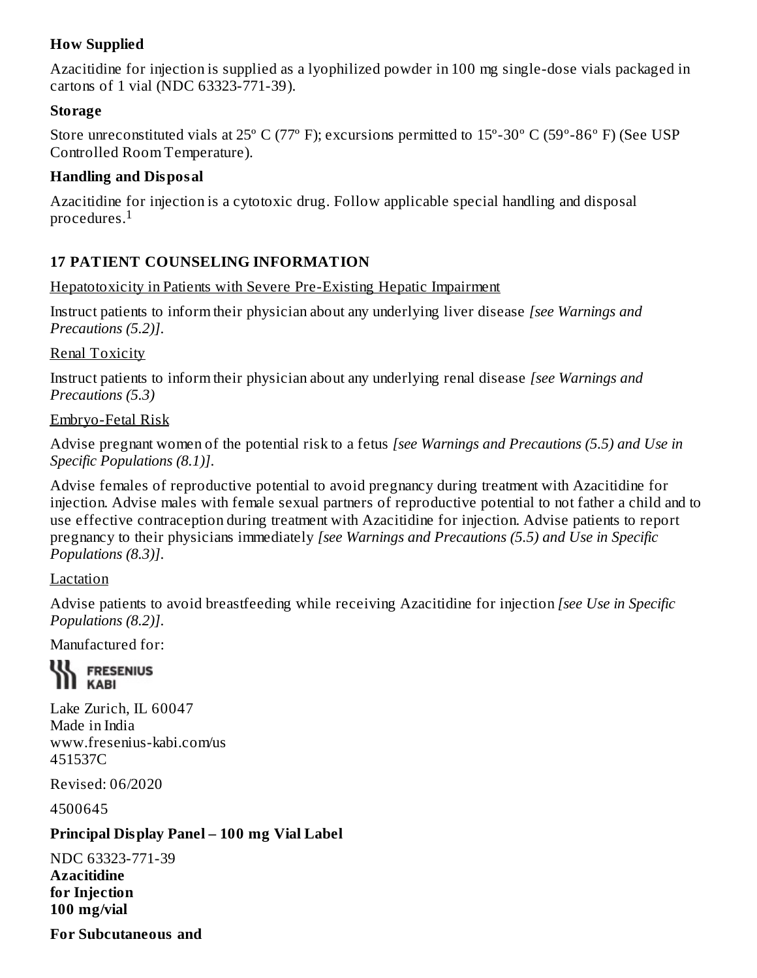# **How Supplied**

Azacitidine for injection is supplied as a lyophilized powder in 100 mg single-dose vials packaged in cartons of 1 vial (NDC 63323-771-39).

#### **Storage**

Store unreconstituted vials at 25º C (77º F); excursions permitted to 15º-30º C (59º-86º F) (See USP Controlled Room Temperature).

#### **Handling and Disposal**

Azacitidine for injection is a cytotoxic drug. Follow applicable special handling and disposal procedures. $^{\rm 1}$ 

# **17 PATIENT COUNSELING INFORMATION**

#### Hepatotoxicity in Patients with Severe Pre-Existing Hepatic Impairment

Instruct patients to inform their physician about any underlying liver disease *[see Warnings and Precautions (5.2)]*.

#### Renal Toxicity

Instruct patients to inform their physician about any underlying renal disease *[see Warnings and Precautions (5.3)*

#### Embryo-Fetal Risk

Advise pregnant women of the potential risk to a fetus *[see Warnings and Precautions (5.5) and Use in Specific Populations (8.1)]*.

Advise females of reproductive potential to avoid pregnancy during treatment with Azacitidine for injection. Advise males with female sexual partners of reproductive potential to not father a child and to use effective contraception during treatment with Azacitidine for injection. Advise patients to report pregnancy to their physicians immediately *[see Warnings and Precautions (5.5) and Use in Specific Populations (8.3)]*.

#### Lactation

Advise patients to avoid breastfeeding while receiving Azacitidine for injection *[see Use in Specific Populations (8.2)]*.

Manufactured for:

#### **WE FRESENIUS I** KABI

Lake Zurich, IL 60047 Made in India www.fresenius-kabi.com/us 451537C

Revised: 06/2020

4500645

#### **Principal Display Panel – 100 mg Vial Label**

NDC 63323-771-39 **Azacitidine for Injection 100 mg/vial**

**For Subcutaneous and**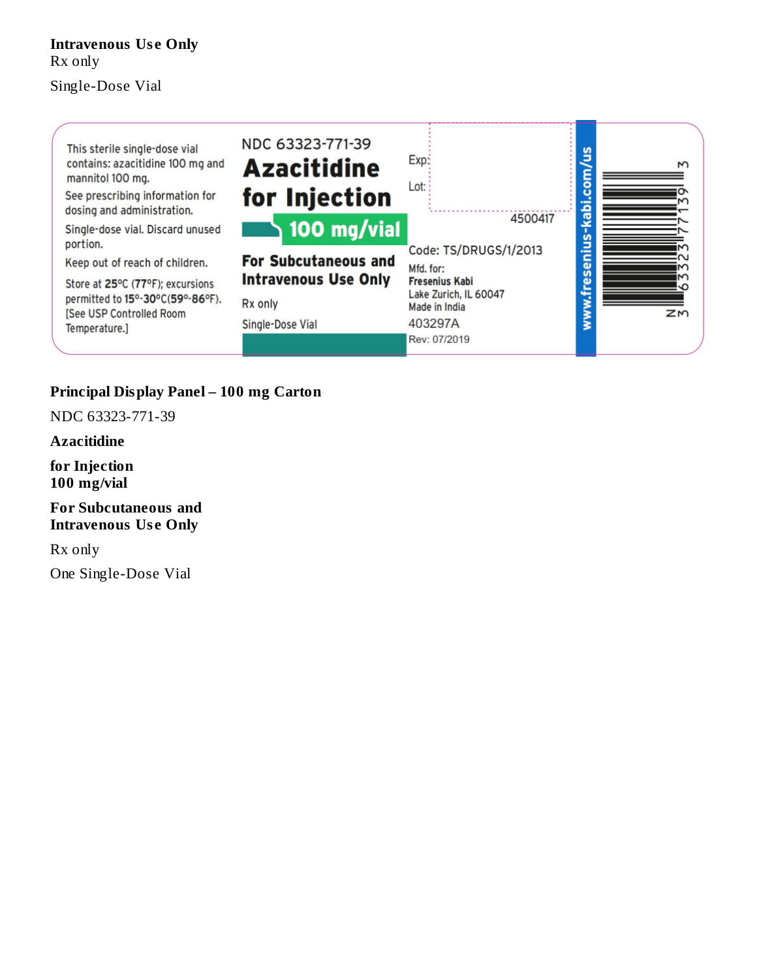# **Intravenous Us e Only** Rx only

Single-Dose Vial



### **Principal Display Panel – 100 mg Carton**

NDC 63323-771-39

**Azacitidine**

**for Injection 100 mg/vial**

**For Subcutaneous and Intravenous Us e Only**

Rx only

One Single-Dose Vial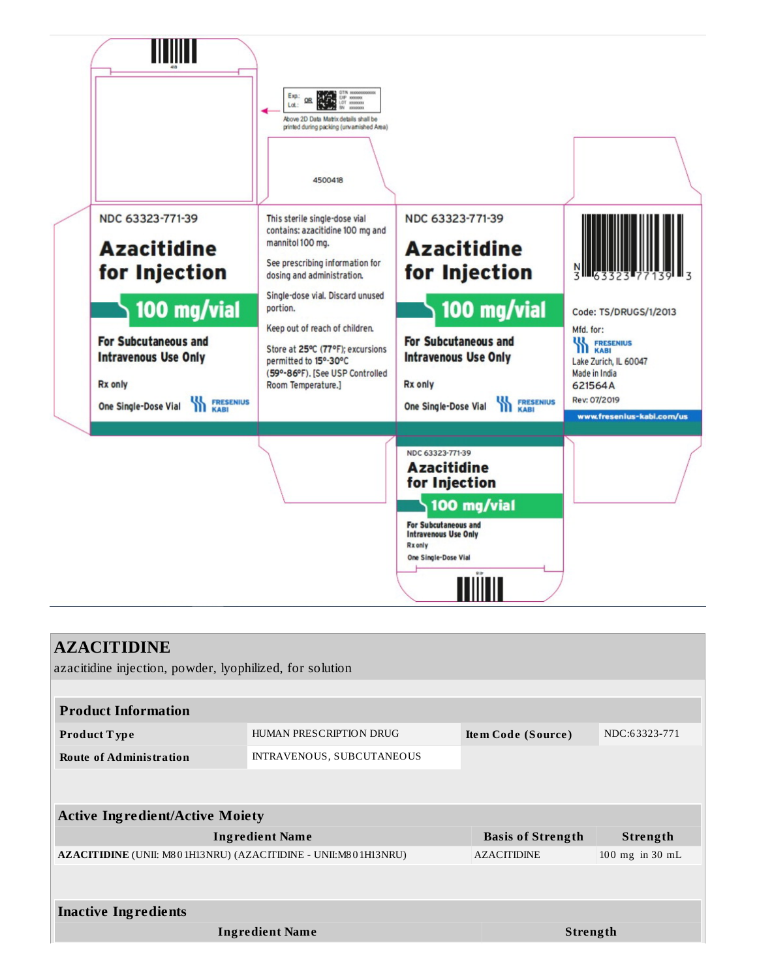

| <b>AZACITIDINE</b>                                             |                                               |                 |               |  |  |  |  |
|----------------------------------------------------------------|-----------------------------------------------|-----------------|---------------|--|--|--|--|
| azacitidine injection, powder, lyophilized, for solution       |                                               |                 |               |  |  |  |  |
|                                                                |                                               |                 |               |  |  |  |  |
| <b>Product Information</b>                                     |                                               |                 |               |  |  |  |  |
| <b>Product Type</b>                                            | HUMAN PRESCRIPTION DRUG<br>Item Code (Source) |                 | NDC:63323-771 |  |  |  |  |
| <b>Route of Administration</b>                                 | INTRAVENOUS, SUBCUTANEOUS                     |                 |               |  |  |  |  |
|                                                                |                                               |                 |               |  |  |  |  |
|                                                                |                                               |                 |               |  |  |  |  |
| <b>Active Ingredient/Active Moiety</b>                         |                                               |                 |               |  |  |  |  |
| <b>Ingredient Name</b>                                         | <b>Basis of Strength</b>                      | Strength        |               |  |  |  |  |
| AZACITIDINE (UNII: M801H13NRU) (AZACITIDINE - UNII:M801H13NRU) | <b>AZACITIDINE</b>                            | 100 mg in 30 mL |               |  |  |  |  |
|                                                                |                                               |                 |               |  |  |  |  |
|                                                                |                                               |                 |               |  |  |  |  |
| <b>Inactive Ingredients</b>                                    |                                               |                 |               |  |  |  |  |
| <b>Ingredient Name</b>                                         | <b>Strength</b>                               |                 |               |  |  |  |  |